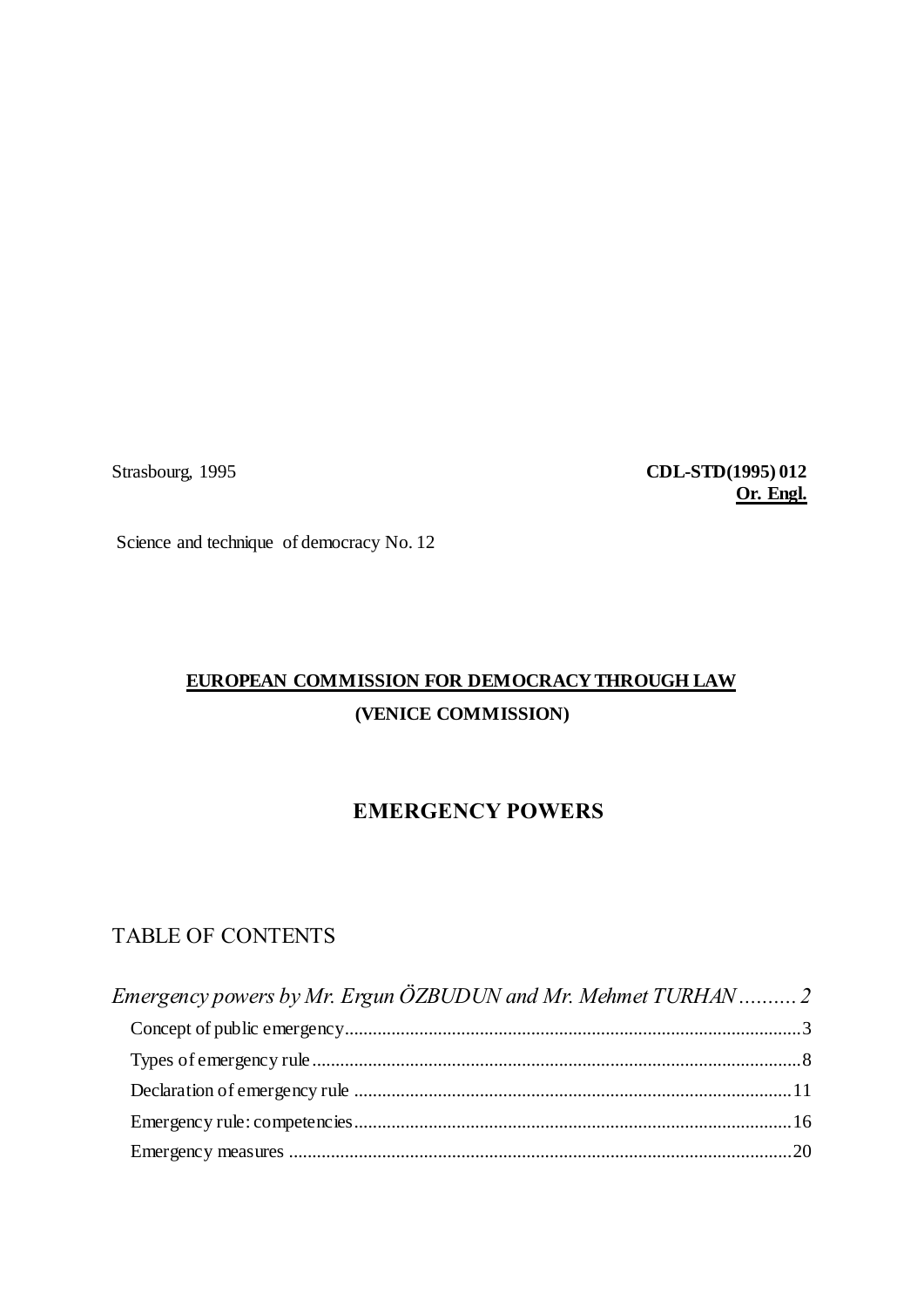Strasbourg, 1995 **CDL-STD(1995) 012 Or. Engl.**

Science and technique of democracy No. 12

# **EUROPEAN COMMISSION FOR DEMOCRACY THROUGH LAW (VENICE COMMISSION)**

## **EMERGENCY POWERS**

## TABLE OF CONTENTS

| Emergency powers by Mr. Ergun ÖZBUDUN and Mr. Mehmet TURHAN2 |  |
|--------------------------------------------------------------|--|
|                                                              |  |
|                                                              |  |
|                                                              |  |
|                                                              |  |
|                                                              |  |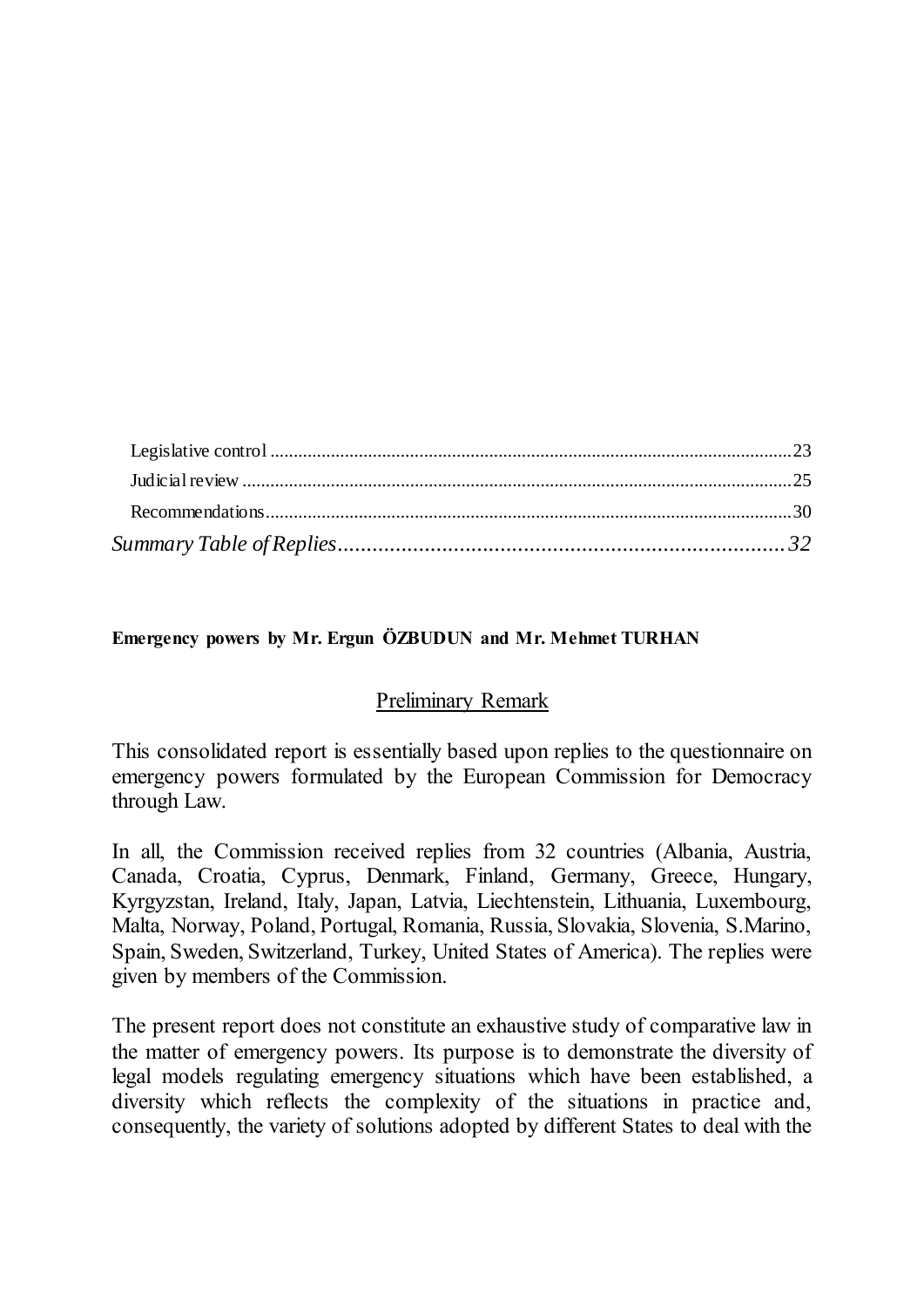### <span id="page-1-0"></span>**Emergency powers by Mr. Ergun ÖZBUDUN and Mr. Mehmet TURHAN**

### Preliminary Remark

This consolidated report is essentially based upon replies to the questionnaire on emergency powers formulated by the European Commission for Democracy through Law.

In all, the Commission received replies from 32 countries (Albania, Austria, Canada, Croatia, Cyprus, Denmark, Finland, Germany, Greece, Hungary, Kyrgyzstan, Ireland, Italy, Japan, Latvia, Liechtenstein, Lithuania, Luxembourg, Malta, Norway, Poland, Portugal, Romania, Russia, Slovakia, Slovenia, S.Marino, Spain, Sweden, Switzerland, Turkey, United States of America). The replies were given by members of the Commission.

The present report does not constitute an exhaustive study of comparative law in the matter of emergency powers. Its purpose is to demonstrate the diversity of legal models regulating emergency situations which have been established, a diversity which reflects the complexity of the situations in practice and, consequently, the variety of solutions adopted by different States to deal with the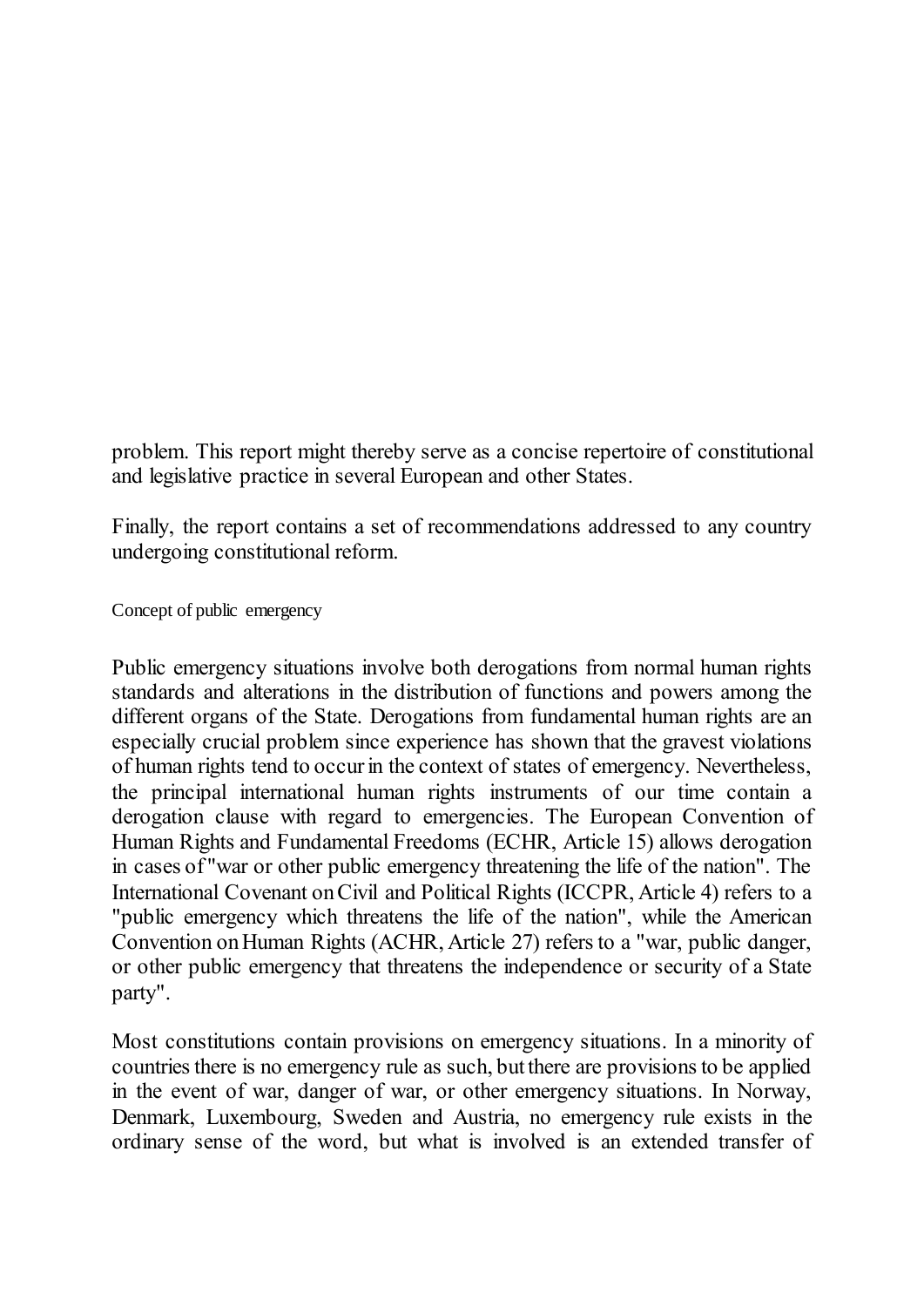problem. This report might thereby serve as a concise repertoire of constitutional and legislative practice in several European and other States.

Finally, the report contains a set of recommendations addressed to any country undergoing constitutional reform.

<span id="page-2-0"></span>Concept of public emergency

Public emergency situations involve both derogations from normal human rights standards and alterations in the distribution of functions and powers among the different organs of the State. Derogations from fundamental human rights are an especially crucial problem since experience has shown that the gravest violations of human rights tend to occur in the context of states of emergency. Nevertheless, the principal international human rights instruments of our time contain a derogation clause with regard to emergencies. The European Convention of Human Rights and Fundamental Freedoms (ECHR, Article 15) allows derogation in cases of "war or other public emergency threatening the life of the nation". The International Covenant on Civil and Political Rights (ICCPR, Article 4) refers to a "public emergency which threatens the life of the nation", while the American Convention on Human Rights (ACHR, Article 27) refers to a "war, public danger, or other public emergency that threatens the independence or security of a State party".

Most constitutions contain provisions on emergency situations. In a minority of countries there is no emergency rule as such, but there are provisions to be applied in the event of war, danger of war, or other emergency situations. In Norway, Denmark, Luxembourg, Sweden and Austria, no emergency rule exists in the ordinary sense of the word, but what is involved is an extended transfer of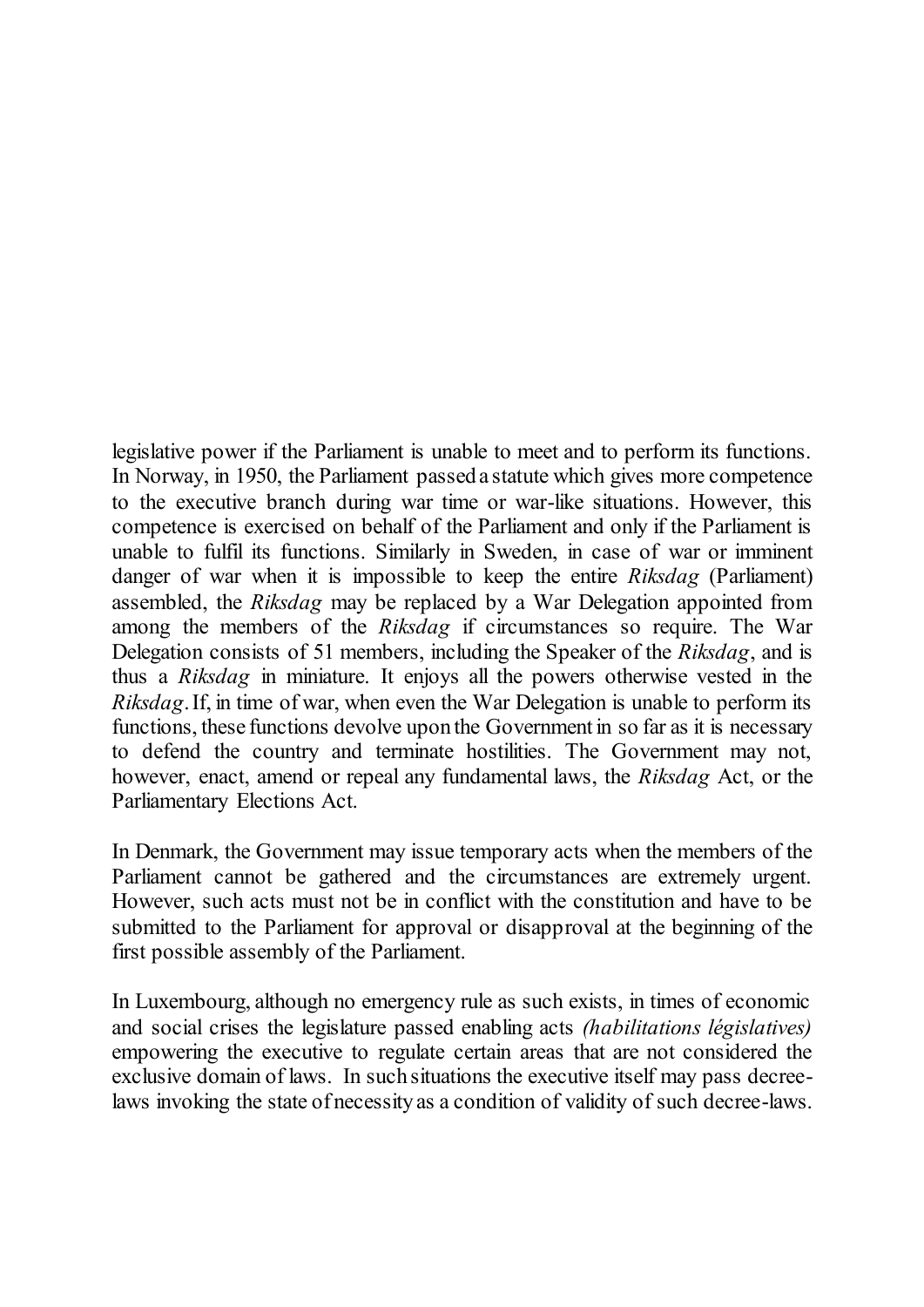legislative power if the Parliament is unable to meet and to perform its functions. In Norway, in 1950, the Parliament passed a statute which gives more competence to the executive branch during war time or war-like situations. However, this competence is exercised on behalf of the Parliament and only if the Parliament is unable to fulfil its functions. Similarly in Sweden, in case of war or imminent danger of war when it is impossible to keep the entire *Riksdag* (Parliament) assembled, the *Riksdag* may be replaced by a War Delegation appointed from among the members of the *Riksdag* if circumstances so require. The War Delegation consists of 51 members, including the Speaker of the *Riksdag*, and is thus a *Riksdag* in miniature. It enjoys all the powers otherwise vested in the *Riksdag*. If, in time of war, when even the War Delegation is unable to perform its functions, these functions devolve upon the Government in so far as it is necessary to defend the country and terminate hostilities. The Government may not, however, enact, amend or repeal any fundamental laws, the *Riksdag* Act, or the Parliamentary Elections Act.

In Denmark, the Government may issue temporary acts when the members of the Parliament cannot be gathered and the circumstances are extremely urgent. However, such acts must not be in conflict with the constitution and have to be submitted to the Parliament for approval or disapproval at the beginning of the first possible assembly of the Parliament.

In Luxembourg, although no emergency rule as such exists, in times of economic and social crises the legislature passed enabling acts *(habilitations législatives)* empowering the executive to regulate certain areas that are not considered the exclusive domain of laws. In such situations the executive itself may pass decreelaws invoking the state of necessity as a condition of validity of such decree-laws.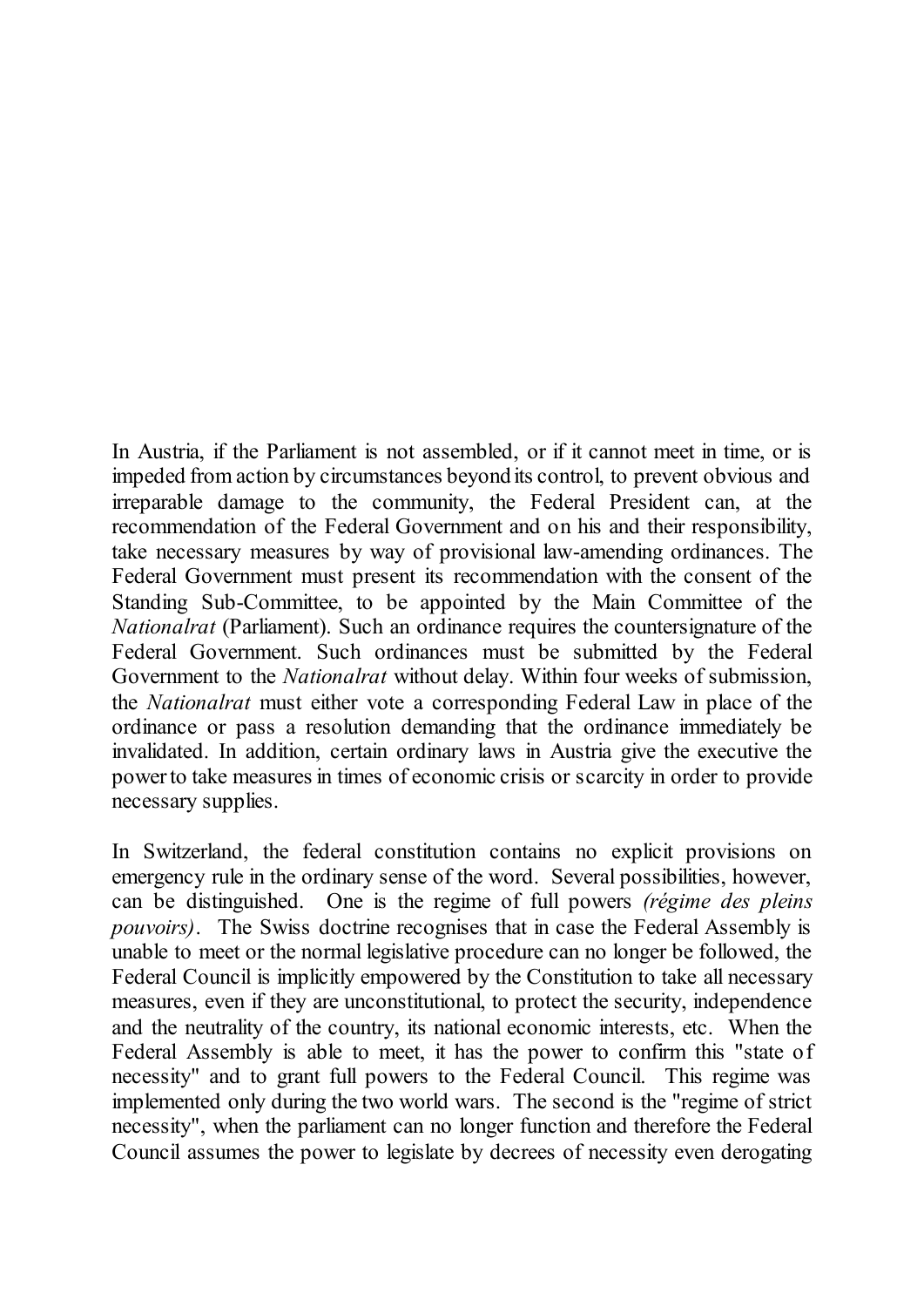In Austria, if the Parliament is not assembled, or if it cannot meet in time, or is impeded from action by circumstances beyond its control, to prevent obvious and irreparable damage to the community, the Federal President can, at the recommendation of the Federal Government and on his and their responsibility, take necessary measures by way of provisional law-amending ordinances. The Federal Government must present its recommendation with the consent of the Standing Sub-Committee, to be appointed by the Main Committee of the *Nationalrat* (Parliament). Such an ordinance requires the countersignature of the Federal Government. Such ordinances must be submitted by the Federal Government to the *Nationalrat* without delay. Within four weeks of submission, the *Nationalrat* must either vote a corresponding Federal Law in place of the ordinance or pass a resolution demanding that the ordinance immediately be invalidated. In addition, certain ordinary laws in Austria give the executive the power to take measures in times of economic crisis or scarcity in order to provide necessary supplies.

In Switzerland, the federal constitution contains no explicit provisions on emergency rule in the ordinary sense of the word. Several possibilities, however, can be distinguished. One is the regime of full powers *(régime des pleins pouvoirs)*. The Swiss doctrine recognises that in case the Federal Assembly is unable to meet or the normal legislative procedure can no longer be followed, the Federal Council is implicitly empowered by the Constitution to take all necessary measures, even if they are unconstitutional, to protect the security, independence and the neutrality of the country, its national economic interests, etc. When the Federal Assembly is able to meet, it has the power to confirm this "state of necessity" and to grant full powers to the Federal Council. This regime was implemented only during the two world wars. The second is the "regime of strict necessity", when the parliament can no longer function and therefore the Federal Council assumes the power to legislate by decrees of necessity even derogating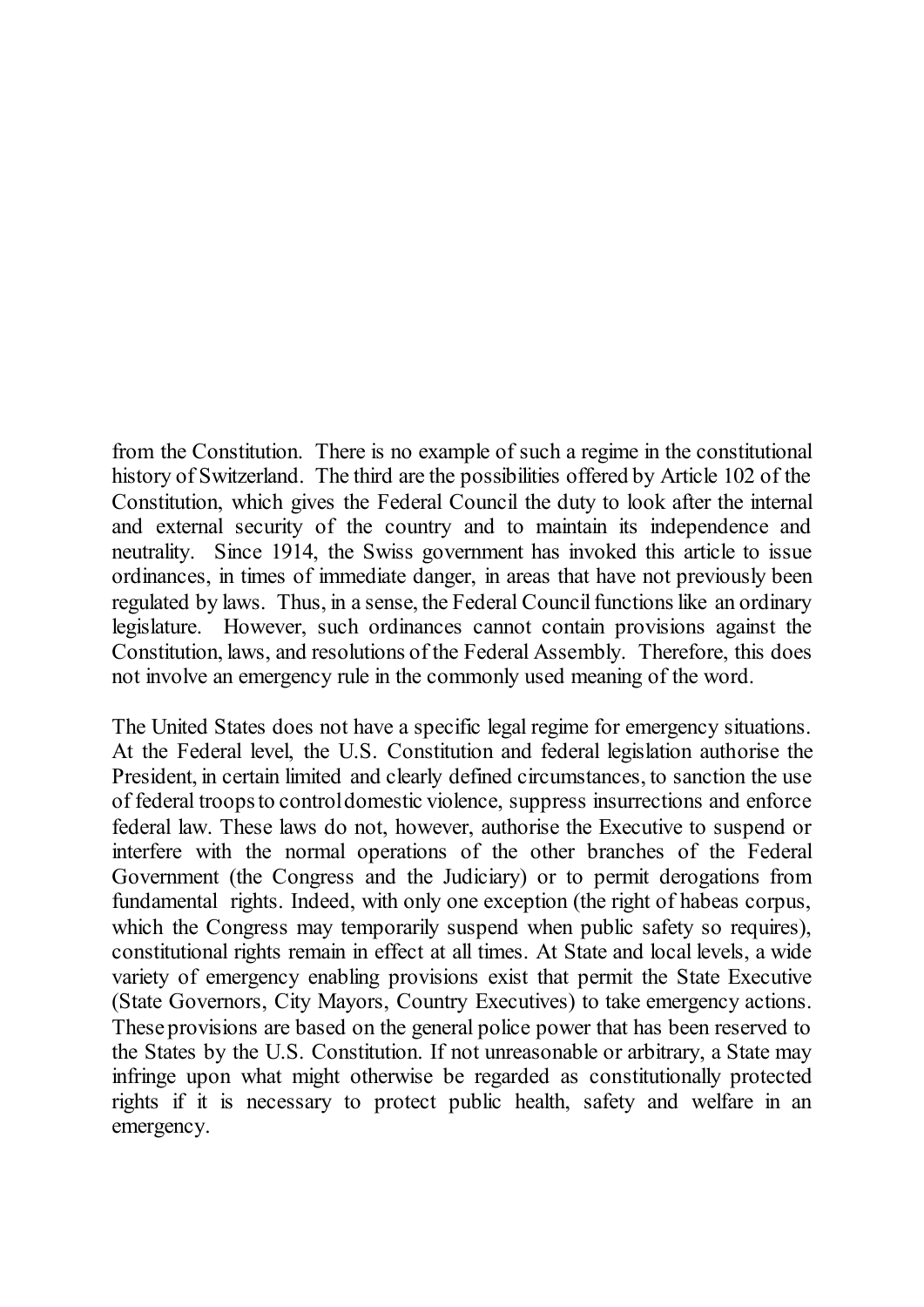from the Constitution. There is no example of such a regime in the constitutional history of Switzerland. The third are the possibilities offered by Article 102 of the Constitution, which gives the Federal Council the duty to look after the internal and external security of the country and to maintain its independence and neutrality. Since 1914, the Swiss government has invoked this article to issue ordinances, in times of immediate danger, in areas that have not previously been regulated by laws. Thus, in a sense, the Federal Council functions like an ordinary legislature. However, such ordinances cannot contain provisions against the Constitution, laws, and resolutions of the Federal Assembly. Therefore, this does not involve an emergency rule in the commonly used meaning of the word.

The United States does not have a specific legal regime for emergency situations. At the Federal level, the U.S. Constitution and federal legislation authorise the President, in certain limited and clearly defined circumstances, to sanction the use of federal troops to control domestic violence, suppress insurrections and enforce federal law. These laws do not, however, authorise the Executive to suspend or interfere with the normal operations of the other branches of the Federal Government (the Congress and the Judiciary) or to permit derogations from fundamental rights. Indeed, with only one exception (the right of habeas corpus, which the Congress may temporarily suspend when public safety so requires), constitutional rights remain in effect at all times. At State and local levels, a wide variety of emergency enabling provisions exist that permit the State Executive (State Governors, City Mayors, Country Executives) to take emergency actions. These provisions are based on the general police power that has been reserved to the States by the U.S. Constitution. If not unreasonable or arbitrary, a State may infringe upon what might otherwise be regarded as constitutionally protected rights if it is necessary to protect public health, safety and welfare in an emergency.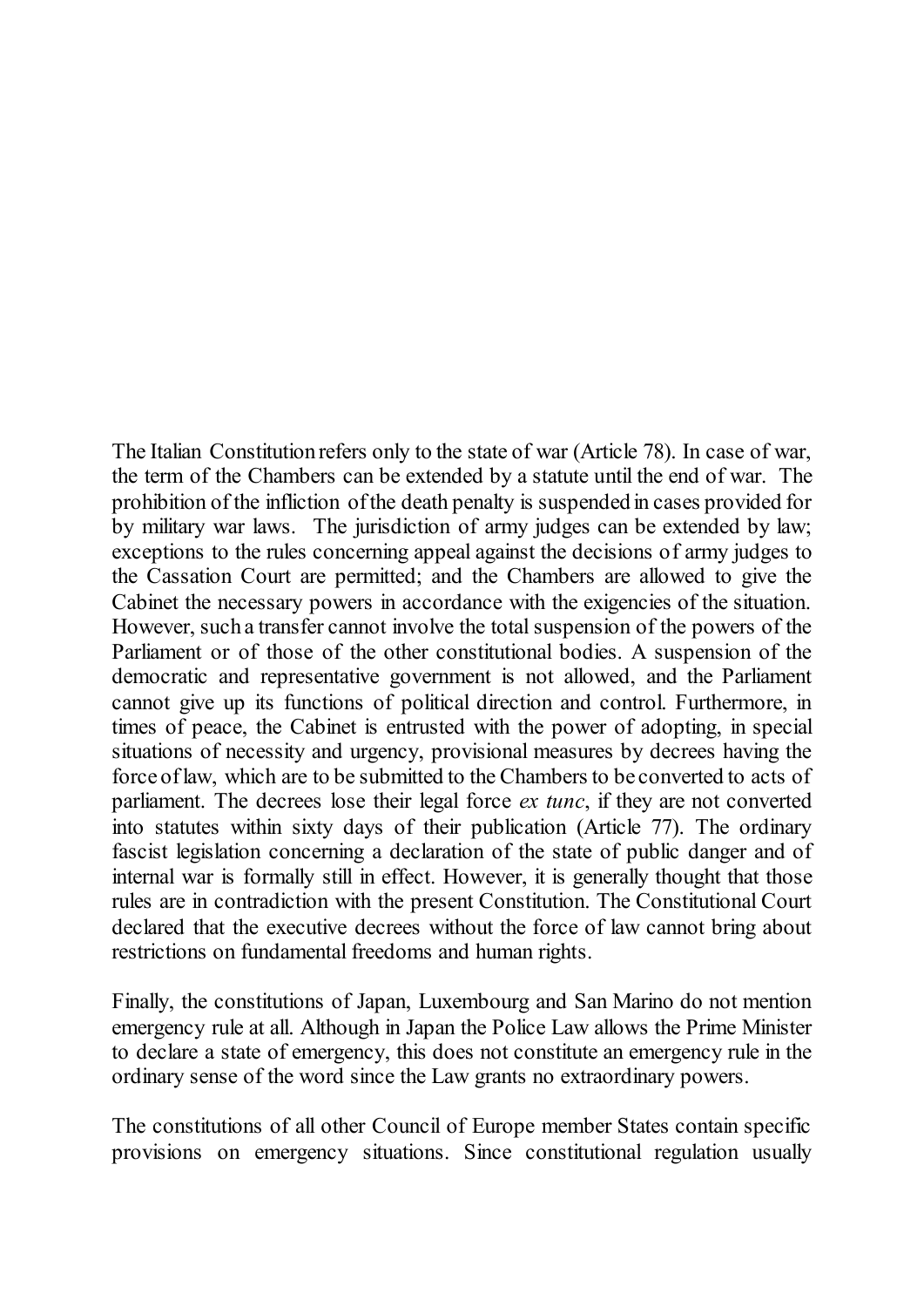The Italian Constitution refers only to the state of war (Article 78). In case of war, the term of the Chambers can be extended by a statute until the end of war. The prohibition of the infliction of the death penalty is suspended in cases provided for by military war laws. The jurisdiction of army judges can be extended by law; exceptions to the rules concerning appeal against the decisions of army judges to the Cassation Court are permitted; and the Chambers are allowed to give the Cabinet the necessary powers in accordance with the exigencies of the situation. However, such a transfer cannot involve the total suspension of the powers of the Parliament or of those of the other constitutional bodies. A suspension of the democratic and representative government is not allowed, and the Parliament cannot give up its functions of political direction and control. Furthermore, in times of peace, the Cabinet is entrusted with the power of adopting, in special situations of necessity and urgency, provisional measures by decrees having the force of law, which are to be submitted to the Chambers to be converted to acts of parliament. The decrees lose their legal force *ex tunc*, if they are not converted into statutes within sixty days of their publication (Article 77). The ordinary fascist legislation concerning a declaration of the state of public danger and of internal war is formally still in effect. However, it is generally thought that those rules are in contradiction with the present Constitution. The Constitutional Court declared that the executive decrees without the force of law cannot bring about restrictions on fundamental freedoms and human rights.

Finally, the constitutions of Japan, Luxembourg and San Marino do not mention emergency rule at all. Although in Japan the Police Law allows the Prime Minister to declare a state of emergency, this does not constitute an emergency rule in the ordinary sense of the word since the Law grants no extraordinary powers.

The constitutions of all other Council of Europe member States contain specific provisions on emergency situations. Since constitutional regulation usually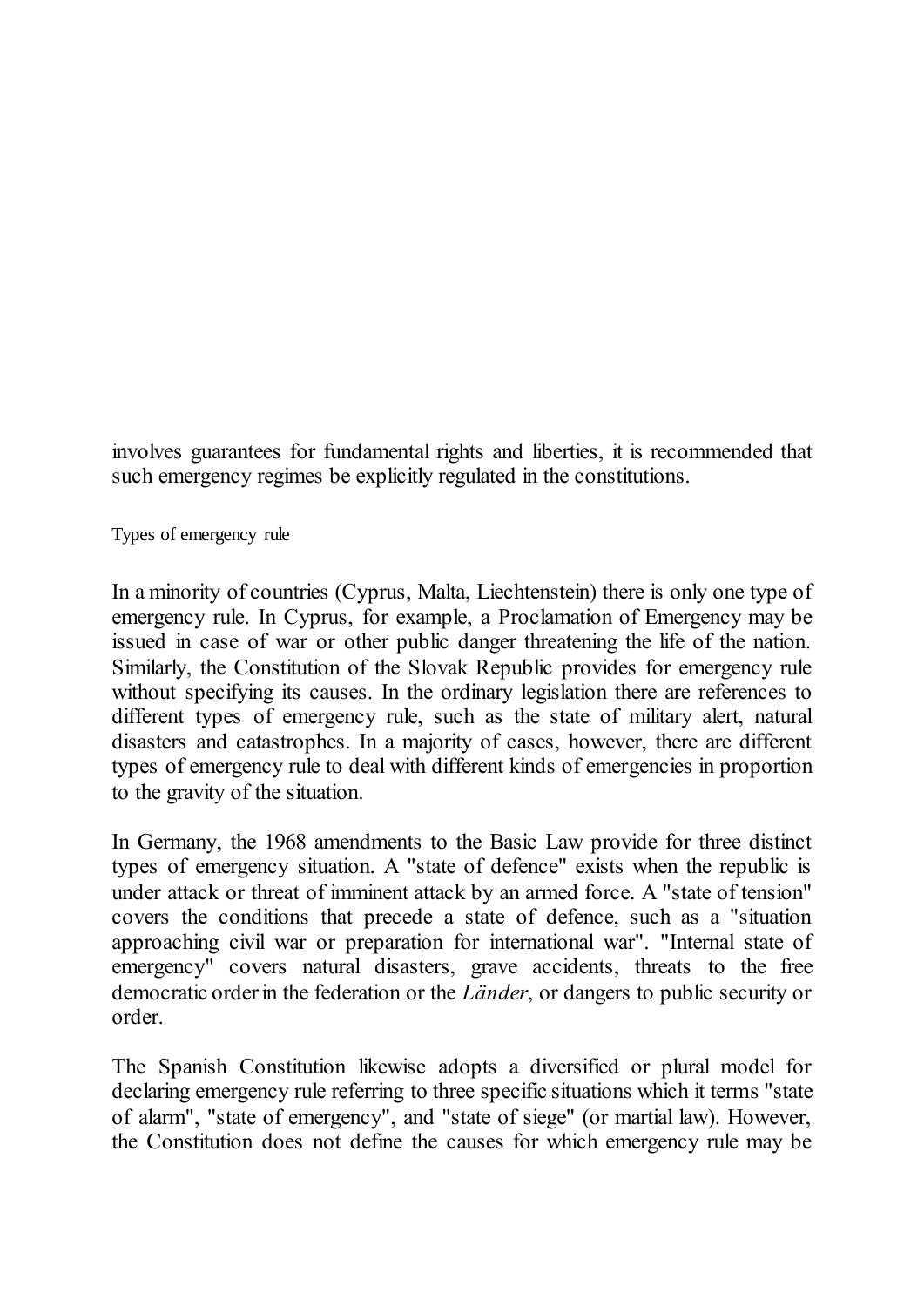involves guarantees for fundamental rights and liberties, it is recommended that such emergency regimes be explicitly regulated in the constitutions.

<span id="page-7-0"></span>Types of emergency rule

In a minority of countries (Cyprus, Malta, Liechtenstein) there is only one type of emergency rule. In Cyprus, for example, a Proclamation of Emergency may be issued in case of war or other public danger threatening the life of the nation. Similarly, the Constitution of the Slovak Republic provides for emergency rule without specifying its causes. In the ordinary legislation there are references to different types of emergency rule, such as the state of military alert, natural disasters and catastrophes. In a majority of cases, however, there are different types of emergency rule to deal with different kinds of emergencies in proportion to the gravity of the situation.

In Germany, the 1968 amendments to the Basic Law provide for three distinct types of emergency situation. A "state of defence" exists when the republic is under attack or threat of imminent attack by an armed force. A "state of tension" covers the conditions that precede a state of defence, such as a "situation approaching civil war or preparation for international war". "Internal state of emergency" covers natural disasters, grave accidents, threats to the free democratic order in the federation or the *Länder*, or dangers to public security or order.

The Spanish Constitution likewise adopts a diversified or plural model for declaring emergency rule referring to three specific situations which it terms "state of alarm", "state of emergency", and "state of siege" (or martial law). However, the Constitution does not define the causes for which emergency rule may be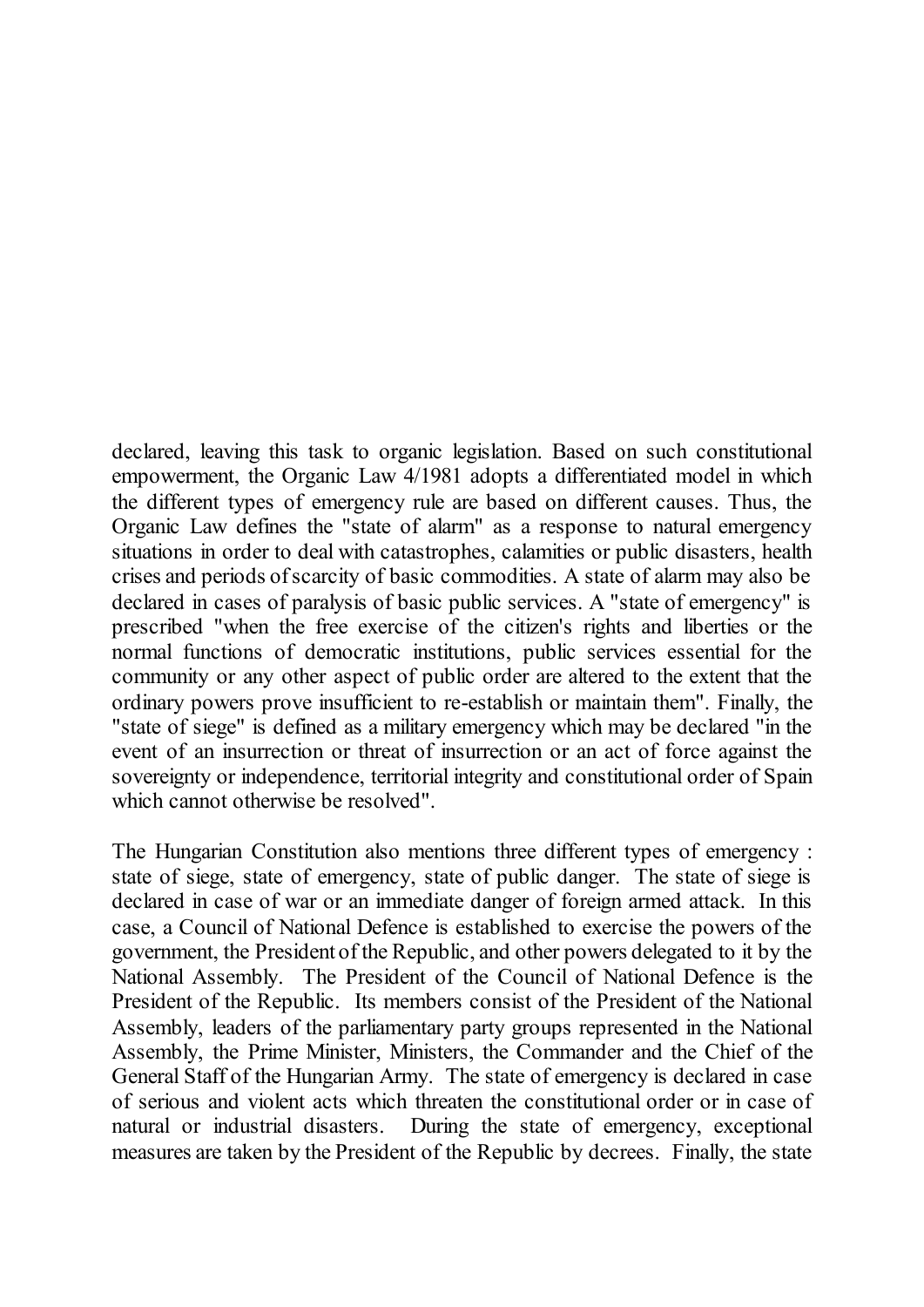declared, leaving this task to organic legislation. Based on such constitutional empowerment, the Organic Law 4/1981 adopts a differentiated model in which the different types of emergency rule are based on different causes. Thus, the Organic Law defines the "state of alarm" as a response to natural emergency situations in order to deal with catastrophes, calamities or public disasters, health crises and periods of scarcity of basic commodities. A state of alarm may also be declared in cases of paralysis of basic public services. A "state of emergency" is prescribed "when the free exercise of the citizen's rights and liberties or the normal functions of democratic institutions, public services essential for the community or any other aspect of public order are altered to the extent that the ordinary powers prove insufficient to re-establish or maintain them". Finally, the "state of siege" is defined as a military emergency which may be declared "in the event of an insurrection or threat of insurrection or an act of force against the sovereignty or independence, territorial integrity and constitutional order of Spain which cannot otherwise be resolved".

The Hungarian Constitution also mentions three different types of emergency : state of siege, state of emergency, state of public danger. The state of siege is declared in case of war or an immediate danger of foreign armed attack. In this case, a Council of National Defence is established to exercise the powers of the government, the President of the Republic, and other powers delegated to it by the National Assembly. The President of the Council of National Defence is the President of the Republic. Its members consist of the President of the National Assembly, leaders of the parliamentary party groups represented in the National Assembly, the Prime Minister, Ministers, the Commander and the Chief of the General Staff of the Hungarian Army. The state of emergency is declared in case of serious and violent acts which threaten the constitutional order or in case of natural or industrial disasters. During the state of emergency, exceptional measures are taken by the President of the Republic by decrees. Finally, the state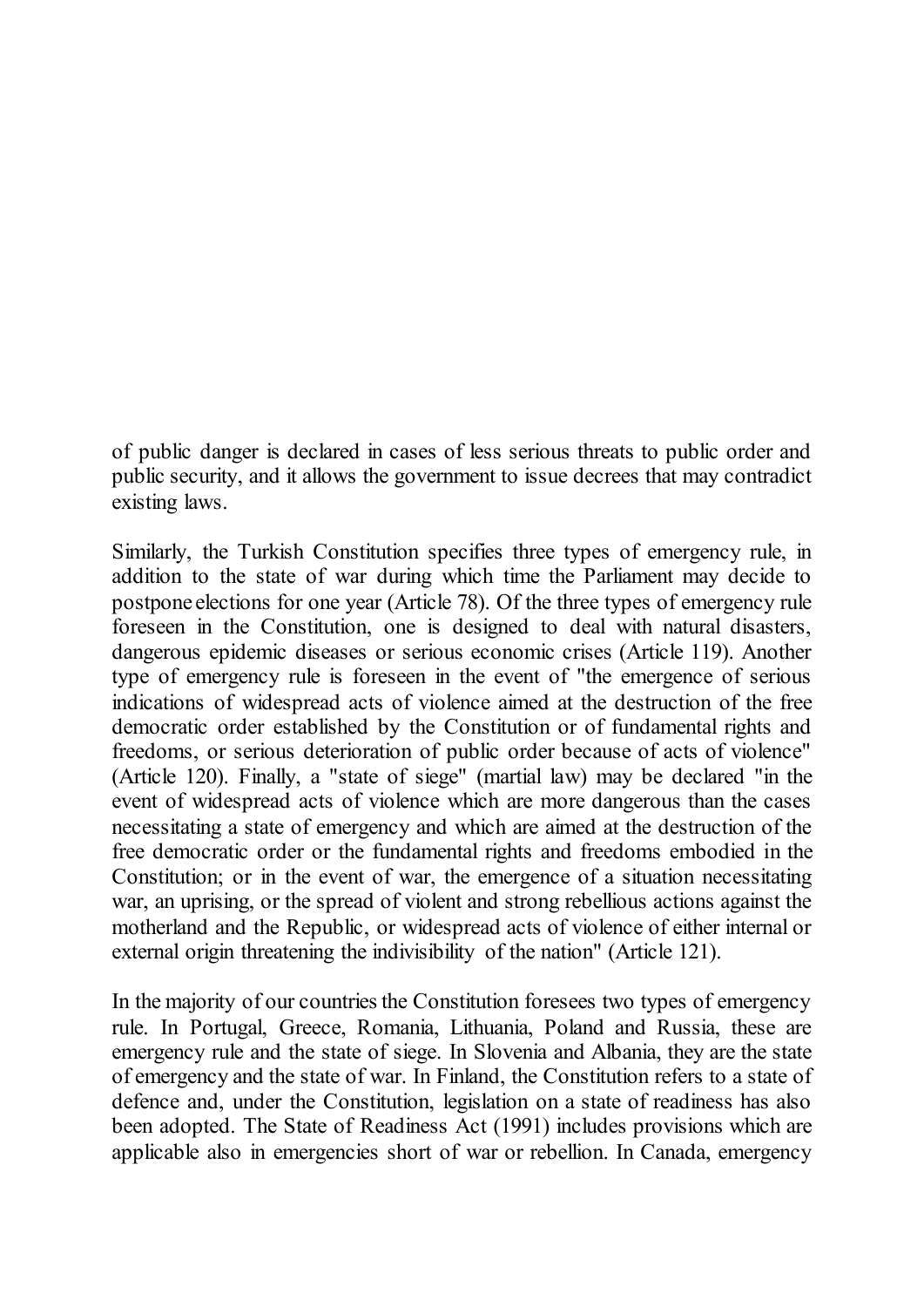of public danger is declared in cases of less serious threats to public order and public security, and it allows the government to issue decrees that may contradict existing laws.

Similarly, the Turkish Constitution specifies three types of emergency rule, in addition to the state of war during which time the Parliament may decide to postpone elections for one year (Article 78). Of the three types of emergency rule foreseen in the Constitution, one is designed to deal with natural disasters, dangerous epidemic diseases or serious economic crises (Article 119). Another type of emergency rule is foreseen in the event of "the emergence of serious indications of widespread acts of violence aimed at the destruction of the free democratic order established by the Constitution or of fundamental rights and freedoms, or serious deterioration of public order because of acts of violence" (Article 120). Finally, a "state of siege" (martial law) may be declared "in the event of widespread acts of violence which are more dangerous than the cases necessitating a state of emergency and which are aimed at the destruction of the free democratic order or the fundamental rights and freedoms embodied in the Constitution; or in the event of war, the emergence of a situation necessitating war, an uprising, or the spread of violent and strong rebellious actions against the motherland and the Republic, or widespread acts of violence of either internal or external origin threatening the indivisibility of the nation" (Article 121).

In the majority of our countries the Constitution foresees two types of emergency rule. In Portugal, Greece, Romania, Lithuania, Poland and Russia, these are emergency rule and the state of siege. In Slovenia and Albania, they are the state of emergency and the state of war. In Finland, the Constitution refers to a state of defence and, under the Constitution, legislation on a state of readiness has also been adopted. The State of Readiness Act (1991) includes provisions which are applicable also in emergencies short of war or rebellion. In Canada, emergency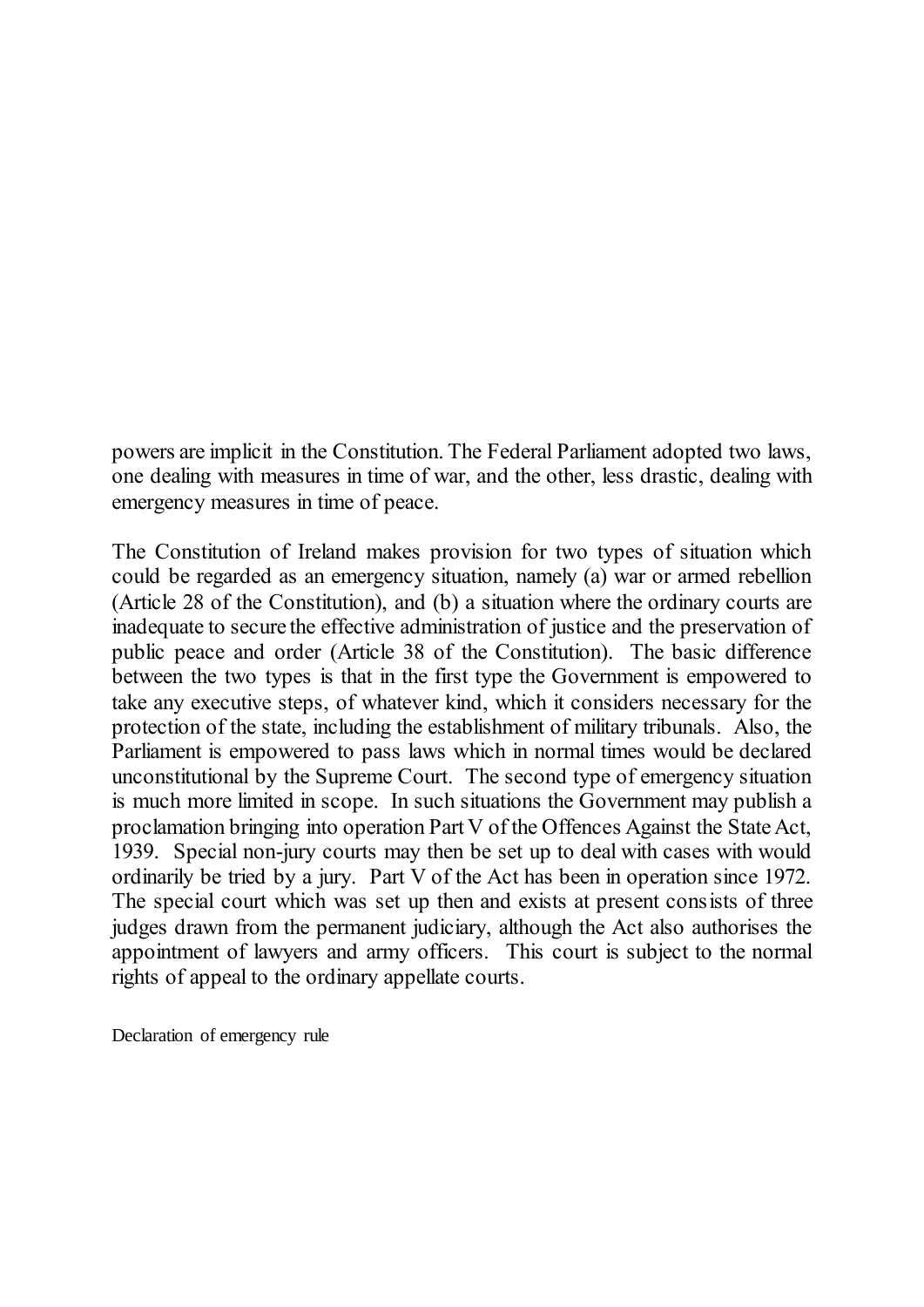powers are implicit in the Constitution. The Federal Parliament adopted two laws, one dealing with measures in time of war, and the other, less drastic, dealing with emergency measures in time of peace.

The Constitution of Ireland makes provision for two types of situation which could be regarded as an emergency situation, namely (a) war or armed rebellion (Article 28 of the Constitution), and (b) a situation where the ordinary courts are inadequate to secure the effective administration of justice and the preservation of public peace and order (Article 38 of the Constitution). The basic difference between the two types is that in the first type the Government is empowered to take any executive steps, of whatever kind, which it considers necessary for the protection of the state, including the establishment of military tribunals. Also, the Parliament is empowered to pass laws which in normal times would be declared unconstitutional by the Supreme Court. The second type of emergency situation is much more limited in scope. In such situations the Government may publish a proclamation bringing into operation Part V of the Offences Against the State Act, 1939. Special non-jury courts may then be set up to deal with cases with would ordinarily be tried by a jury. Part V of the Act has been in operation since 1972. The special court which was set up then and exists at present consists of three judges drawn from the permanent judiciary, although the Act also authorises the appointment of lawyers and army officers. This court is subject to the normal rights of appeal to the ordinary appellate courts.

<span id="page-10-0"></span>Declaration of emergency rule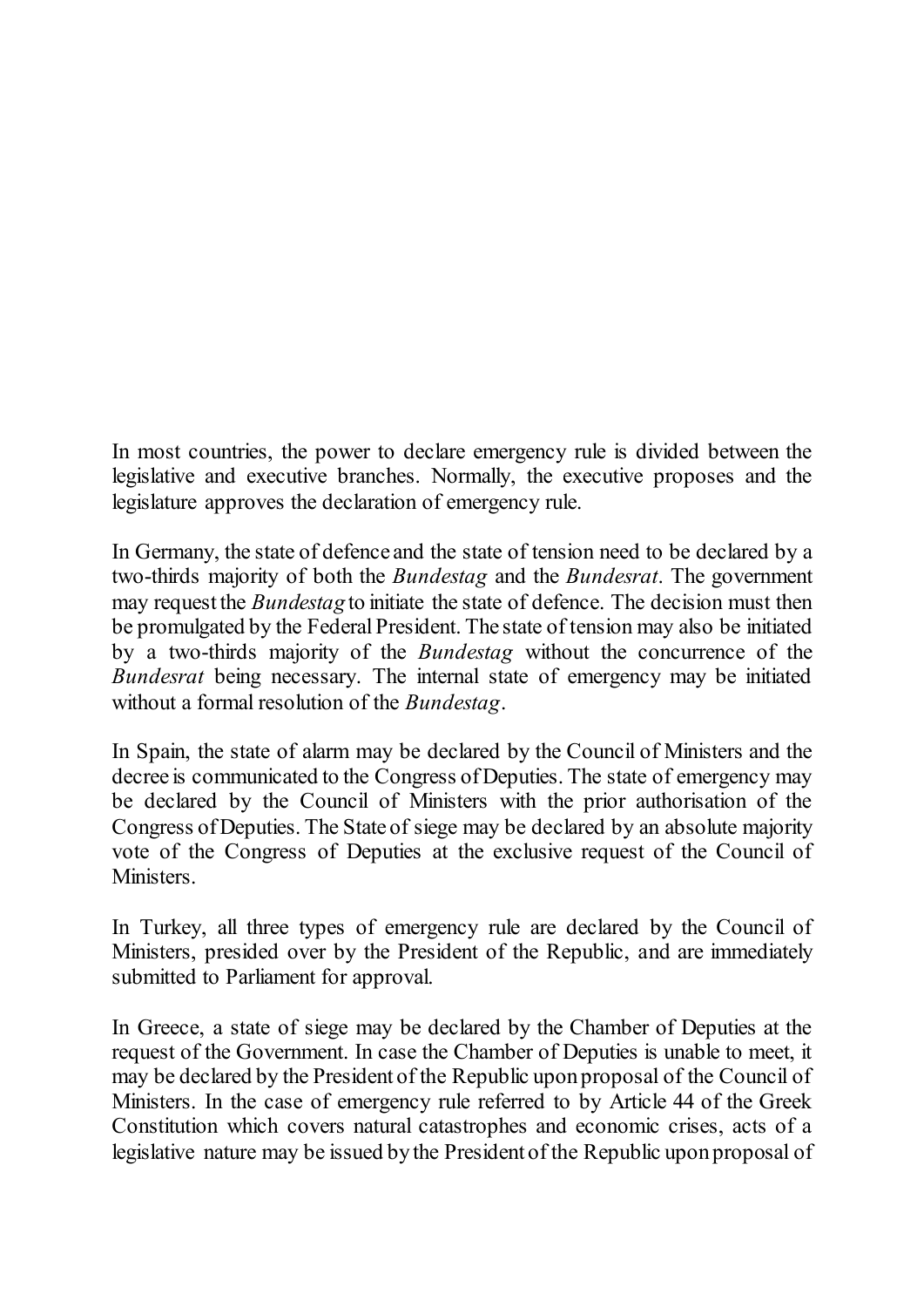In most countries, the power to declare emergency rule is divided between the legislative and executive branches. Normally, the executive proposes and the legislature approves the declaration of emergency rule.

In Germany, the state of defence and the state of tension need to be declared by a two-thirds majority of both the *Bundestag* and the *Bundesrat*. The government may request the *Bundestag* to initiate the state of defence. The decision must then be promulgated by the Federal President. The state of tension may also be initiated by a two-thirds majority of the *Bundestag* without the concurrence of the *Bundesrat* being necessary. The internal state of emergency may be initiated without a formal resolution of the *Bundestag*.

In Spain, the state of alarm may be declared by the Council of Ministers and the decree is communicated to the Congress of Deputies. The state of emergency may be declared by the Council of Ministers with the prior authorisation of the Congress of Deputies. The State of siege may be declared by an absolute majority vote of the Congress of Deputies at the exclusive request of the Council of Ministers.

In Turkey, all three types of emergency rule are declared by the Council of Ministers, presided over by the President of the Republic, and are immediately submitted to Parliament for approval.

In Greece, a state of siege may be declared by the Chamber of Deputies at the request of the Government. In case the Chamber of Deputies is unable to meet, it may be declared by the President of the Republic upon proposal of the Council of Ministers. In the case of emergency rule referred to by Article 44 of the Greek Constitution which covers natural catastrophes and economic crises, acts of a legislative nature may be issued by the President of the Republic upon proposal of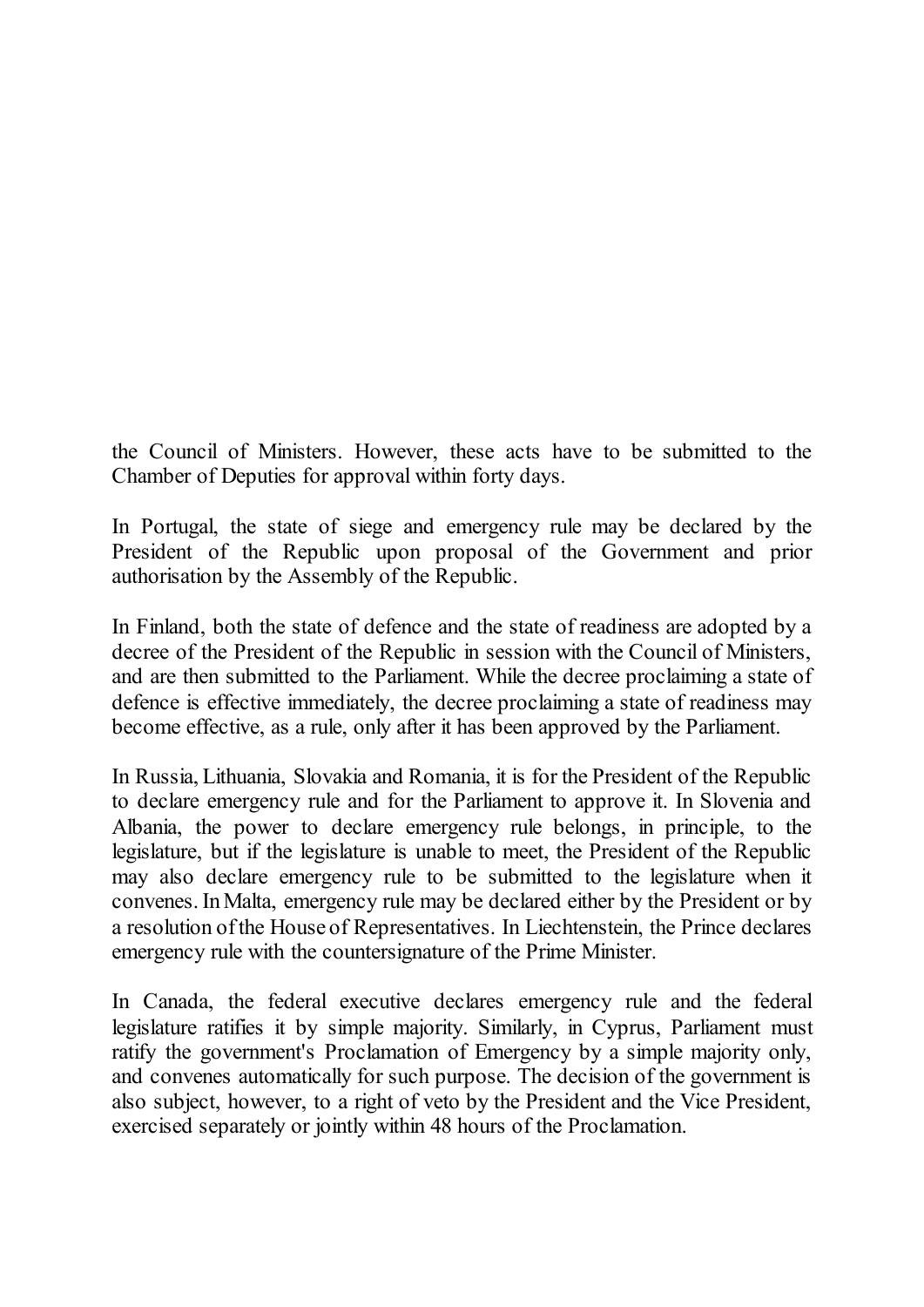the Council of Ministers. However, these acts have to be submitted to the Chamber of Deputies for approval within forty days.

In Portugal, the state of siege and emergency rule may be declared by the President of the Republic upon proposal of the Government and prior authorisation by the Assembly of the Republic.

In Finland, both the state of defence and the state of readiness are adopted by a decree of the President of the Republic in session with the Council of Ministers, and are then submitted to the Parliament. While the decree proclaiming a state of defence is effective immediately, the decree proclaiming a state of readiness may become effective, as a rule, only after it has been approved by the Parliament.

In Russia, Lithuania, Slovakia and Romania, it is for the President of the Republic to declare emergency rule and for the Parliament to approve it. In Slovenia and Albania, the power to declare emergency rule belongs, in principle, to the legislature, but if the legislature is unable to meet, the President of the Republic may also declare emergency rule to be submitted to the legislature when it convenes. In Malta, emergency rule may be declared either by the President or by a resolution of the House of Representatives. In Liechtenstein, the Prince declares emergency rule with the countersignature of the Prime Minister.

In Canada, the federal executive declares emergency rule and the federal legislature ratifies it by simple majority. Similarly, in Cyprus, Parliament must ratify the government's Proclamation of Emergency by a simple majority only, and convenes automatically for such purpose. The decision of the government is also subject, however, to a right of veto by the President and the Vice President, exercised separately or jointly within 48 hours of the Proclamation.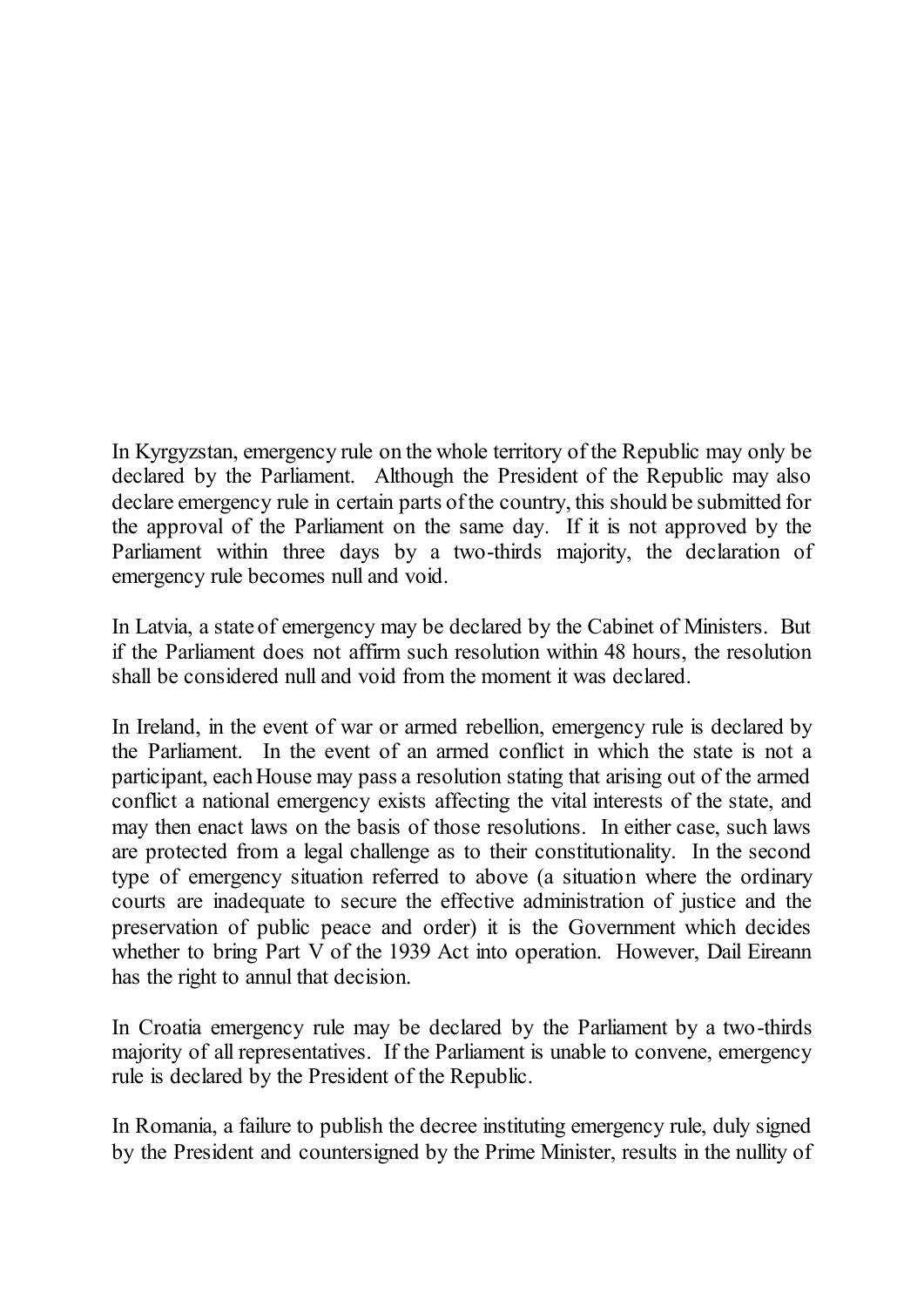In Kyrgyzstan, emergency rule on the whole territory of the Republic may only be declared by the Parliament. Although the President of the Republic may also declare emergency rule in certain parts of the country, this should be submitted for the approval of the Parliament on the same day. If it is not approved by the Parliament within three days by a two-thirds majority, the declaration of emergency rule becomes null and void.

In Latvia, a state of emergency may be declared by the Cabinet of Ministers. But if the Parliament does not affirm such resolution within 48 hours, the resolution shall be considered null and void from the moment it was declared.

In Ireland, in the event of war or armed rebellion, emergency rule is declared by the Parliament. In the event of an armed conflict in which the state is not a participant, each House may pass a resolution stating that arising out of the armed conflict a national emergency exists affecting the vital interests of the state, and may then enact laws on the basis of those resolutions. In either case, such laws are protected from a legal challenge as to their constitutionality. In the second type of emergency situation referred to above (a situation where the ordinary courts are inadequate to secure the effective administration of justice and the preservation of public peace and order) it is the Government which decides whether to bring Part V of the 1939 Act into operation. However, Dail Eireann has the right to annul that decision.

In Croatia emergency rule may be declared by the Parliament by a two-thirds majority of all representatives. If the Parliament is unable to convene, emergency rule is declared by the President of the Republic.

In Romania, a failure to publish the decree instituting emergency rule, duly signed by the President and countersigned by the Prime Minister, results in the nullity of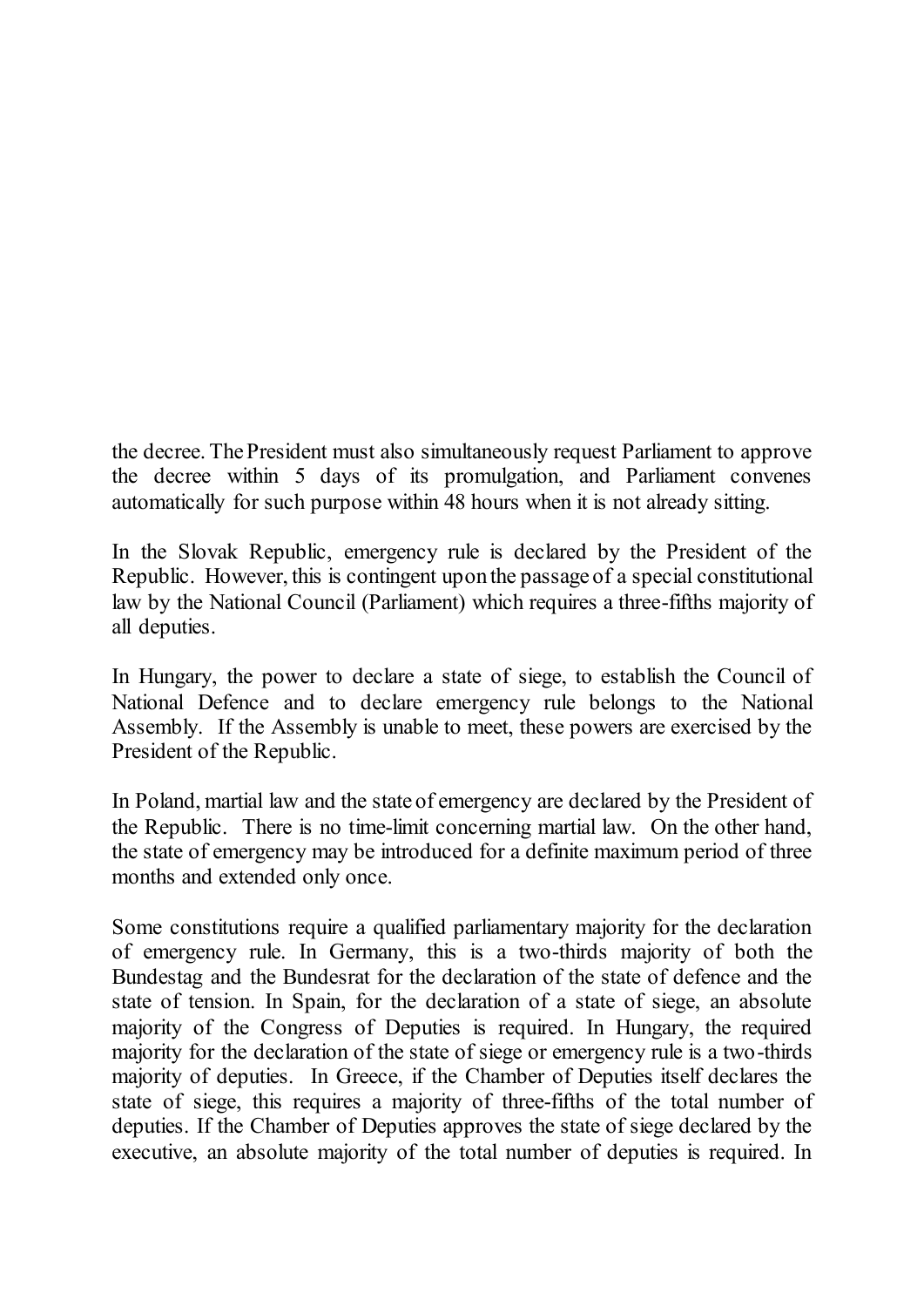the decree. The President must also simultaneously request Parliament to approve the decree within 5 days of its promulgation, and Parliament convenes automatically for such purpose within 48 hours when it is not already sitting.

In the Slovak Republic, emergency rule is declared by the President of the Republic. However, this is contingent upon the passage of a special constitutional law by the National Council (Parliament) which requires a three-fifths majority of all deputies.

In Hungary, the power to declare a state of siege, to establish the Council of National Defence and to declare emergency rule belongs to the National Assembly. If the Assembly is unable to meet, these powers are exercised by the President of the Republic.

In Poland, martial law and the state of emergency are declared by the President of the Republic. There is no time-limit concerning martial law. On the other hand, the state of emergency may be introduced for a definite maximum period of three months and extended only once.

Some constitutions require a qualified parliamentary majority for the declaration of emergency rule. In Germany, this is a two-thirds majority of both the Bundestag and the Bundesrat for the declaration of the state of defence and the state of tension. In Spain, for the declaration of a state of siege, an absolute majority of the Congress of Deputies is required. In Hungary, the required majority for the declaration of the state of siege or emergency rule is a two-thirds majority of deputies. In Greece, if the Chamber of Deputies itself declares the state of siege, this requires a majority of three-fifths of the total number of deputies. If the Chamber of Deputies approves the state of siege declared by the executive, an absolute majority of the total number of deputies is required. In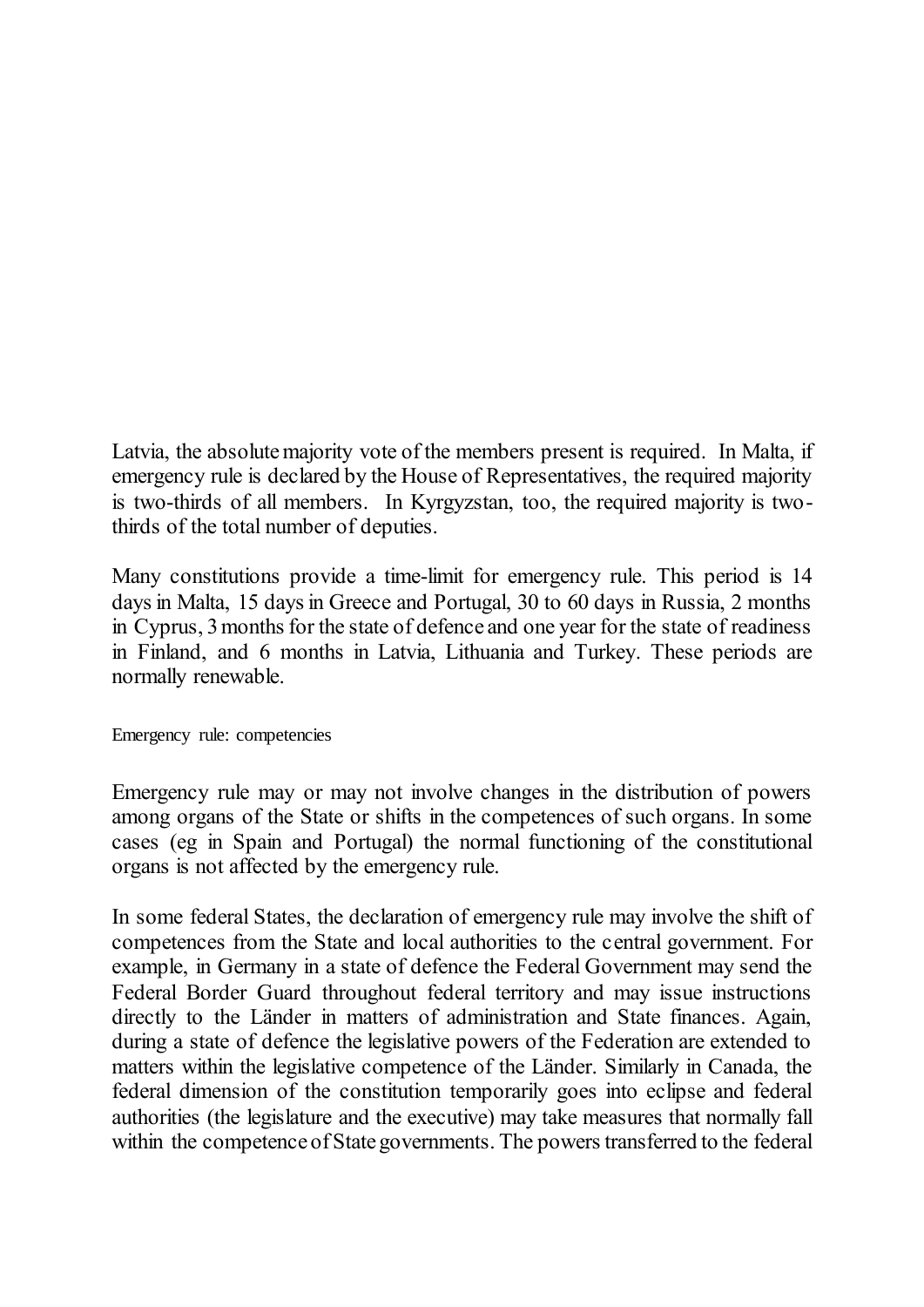Latvia, the absolute majority vote of the members present is required. In Malta, if emergency rule is declared by the House of Representatives, the required majority is two-thirds of all members. In Kyrgyzstan, too, the required majority is twothirds of the total number of deputies.

Many constitutions provide a time-limit for emergency rule. This period is 14 days in Malta, 15 days in Greece and Portugal, 30 to 60 days in Russia, 2 months in Cyprus, 3 months for the state of defence and one year for the state of readiness in Finland, and 6 months in Latvia, Lithuania and Turkey. These periods are normally renewable.

<span id="page-15-0"></span>Emergency rule: competencies

Emergency rule may or may not involve changes in the distribution of powers among organs of the State or shifts in the competences of such organs. In some cases (eg in Spain and Portugal) the normal functioning of the constitutional organs is not affected by the emergency rule.

In some federal States, the declaration of emergency rule may involve the shift of competences from the State and local authorities to the central government. For example, in Germany in a state of defence the Federal Government may send the Federal Border Guard throughout federal territory and may issue instructions directly to the Länder in matters of administration and State finances. Again, during a state of defence the legislative powers of the Federation are extended to matters within the legislative competence of the Länder. Similarly in Canada, the federal dimension of the constitution temporarily goes into eclipse and federal authorities (the legislature and the executive) may take measures that normally fall within the competence of State governments. The powers transferred to the federal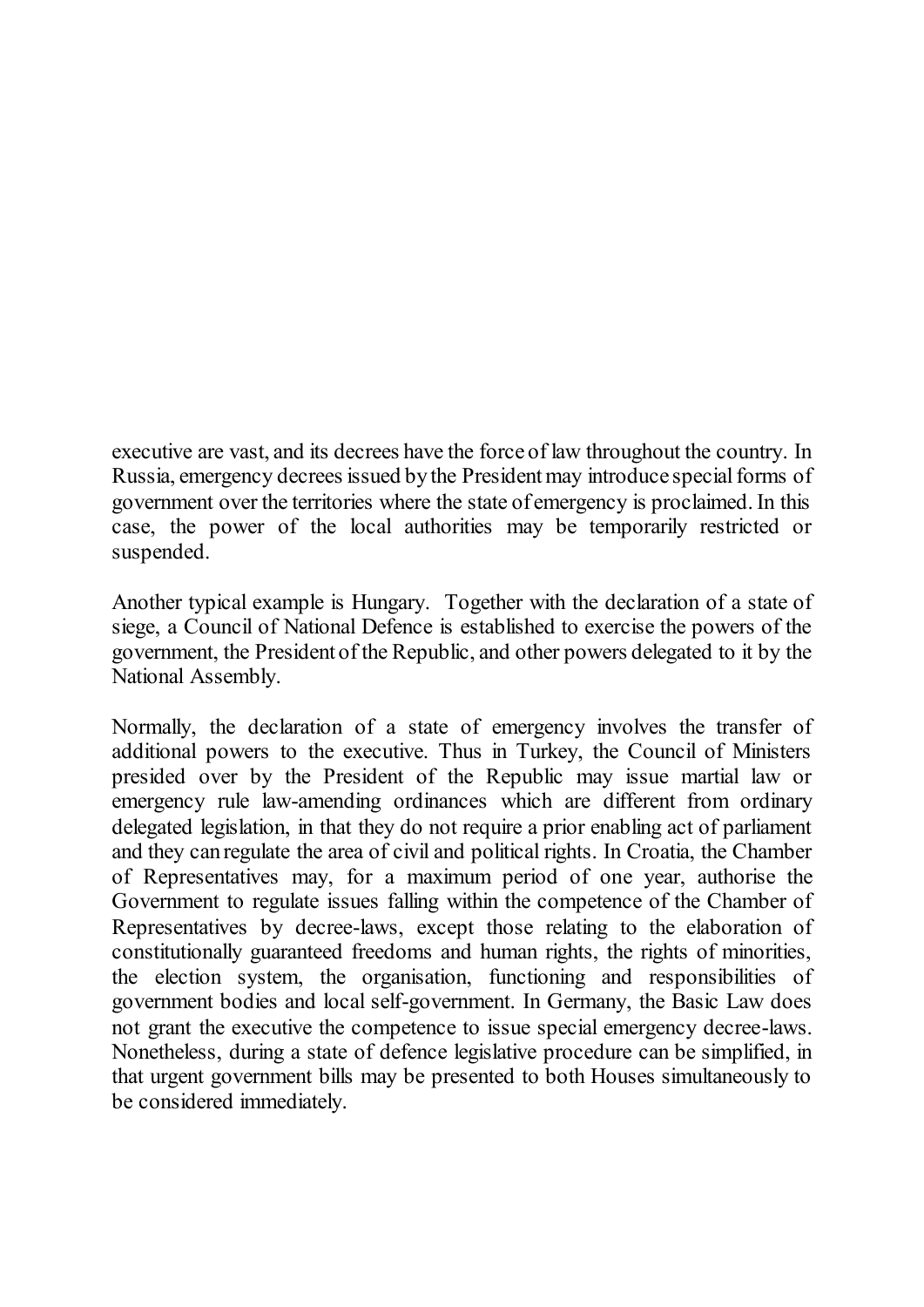executive are vast, and its decrees have the force of law throughout the country. In Russia, emergency decrees issued by the President may introduce special forms of government over the territories where the state of emergency is proclaimed. In this case, the power of the local authorities may be temporarily restricted or suspended.

Another typical example is Hungary. Together with the declaration of a state of siege, a Council of National Defence is established to exercise the powers of the government, the President of the Republic, and other powers delegated to it by the National Assembly.

Normally, the declaration of a state of emergency involves the transfer of additional powers to the executive. Thus in Turkey, the Council of Ministers presided over by the President of the Republic may issue martial law or emergency rule law-amending ordinances which are different from ordinary delegated legislation, in that they do not require a prior enabling act of parliament and they can regulate the area of civil and political rights. In Croatia, the Chamber of Representatives may, for a maximum period of one year, authorise the Government to regulate issues falling within the competence of the Chamber of Representatives by decree-laws, except those relating to the elaboration of constitutionally guaranteed freedoms and human rights, the rights of minorities, the election system, the organisation, functioning and responsibilities of government bodies and local self-government. In Germany, the Basic Law does not grant the executive the competence to issue special emergency decree-laws. Nonetheless, during a state of defence legislative procedure can be simplified, in that urgent government bills may be presented to both Houses simultaneously to be considered immediately.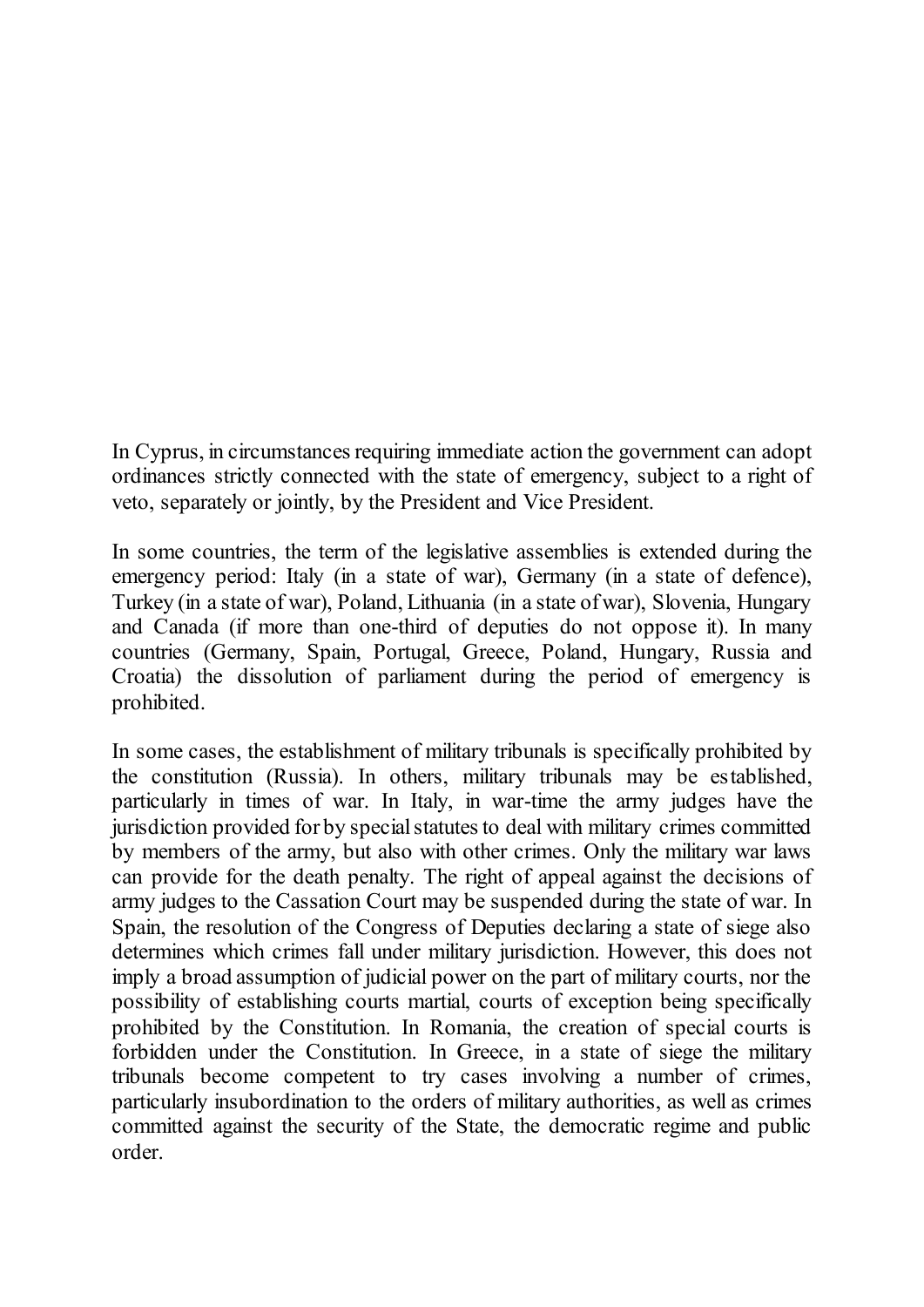In Cyprus, in circumstances requiring immediate action the government can adopt ordinances strictly connected with the state of emergency, subject to a right of veto, separately or jointly, by the President and Vice President.

In some countries, the term of the legislative assemblies is extended during the emergency period: Italy (in a state of war), Germany (in a state of defence), Turkey (in a state of war), Poland, Lithuania (in a state of war), Slovenia, Hungary and Canada (if more than one-third of deputies do not oppose it). In many countries (Germany, Spain, Portugal, Greece, Poland, Hungary, Russia and Croatia) the dissolution of parliament during the period of emergency is prohibited.

In some cases, the establishment of military tribunals is specifically prohibited by the constitution (Russia). In others, military tribunals may be established, particularly in times of war. In Italy, in war-time the army judges have the jurisdiction provided for by special statutes to deal with military crimes committed by members of the army, but also with other crimes. Only the military war laws can provide for the death penalty. The right of appeal against the decisions of army judges to the Cassation Court may be suspended during the state of war. In Spain, the resolution of the Congress of Deputies declaring a state of siege also determines which crimes fall under military jurisdiction. However, this does not imply a broad assumption of judicial power on the part of military courts, nor the possibility of establishing courts martial, courts of exception being specifically prohibited by the Constitution. In Romania, the creation of special courts is forbidden under the Constitution. In Greece, in a state of siege the military tribunals become competent to try cases involving a number of crimes, particularly insubordination to the orders of military authorities, as well as crimes committed against the security of the State, the democratic regime and public order.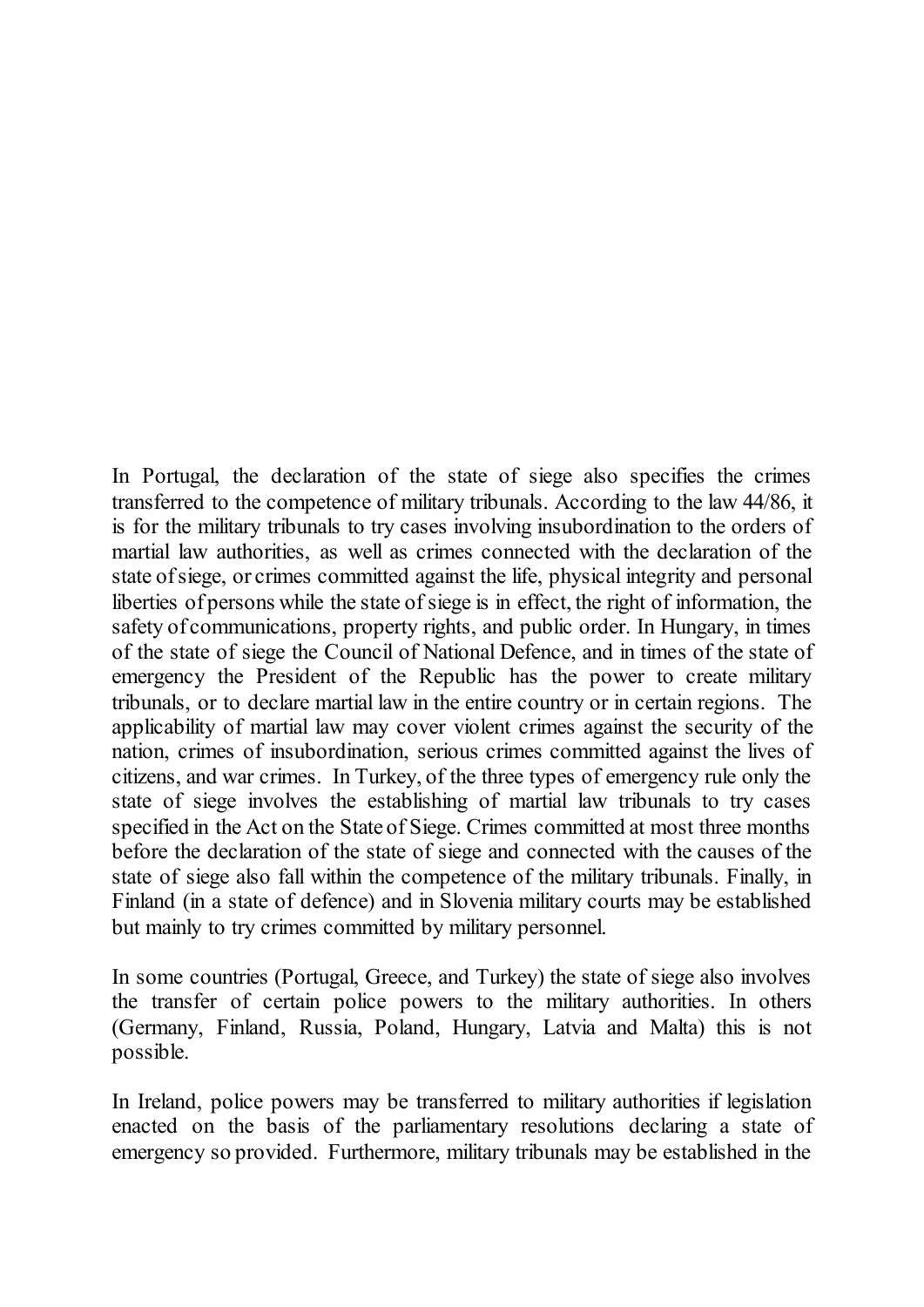In Portugal, the declaration of the state of siege also specifies the crimes transferred to the competence of military tribunals. According to the law 44/86, it is for the military tribunals to try cases involving insubordination to the orders of martial law authorities, as well as crimes connected with the declaration of the state of siege, or crimes committed against the life, physical integrity and personal liberties of persons while the state of siege is in effect, the right of information, the safety of communications, property rights, and public order. In Hungary, in times of the state of siege the Council of National Defence, and in times of the state of emergency the President of the Republic has the power to create military tribunals, or to declare martial law in the entire country or in certain regions. The applicability of martial law may cover violent crimes against the security of the nation, crimes of insubordination, serious crimes committed against the lives of citizens, and war crimes. In Turkey, of the three types of emergency rule only the state of siege involves the establishing of martial law tribunals to try cases specified in the Act on the State of Siege. Crimes committed at most three months before the declaration of the state of siege and connected with the causes of the state of siege also fall within the competence of the military tribunals. Finally, in Finland (in a state of defence) and in Slovenia military courts may be established but mainly to try crimes committed by military personnel.

In some countries (Portugal, Greece, and Turkey) the state of siege also involves the transfer of certain police powers to the military authorities. In others (Germany, Finland, Russia, Poland, Hungary, Latvia and Malta) this is not possible.

In Ireland, police powers may be transferred to military authorities if legislation enacted on the basis of the parliamentary resolutions declaring a state of emergency so provided. Furthermore, military tribunals may be established in the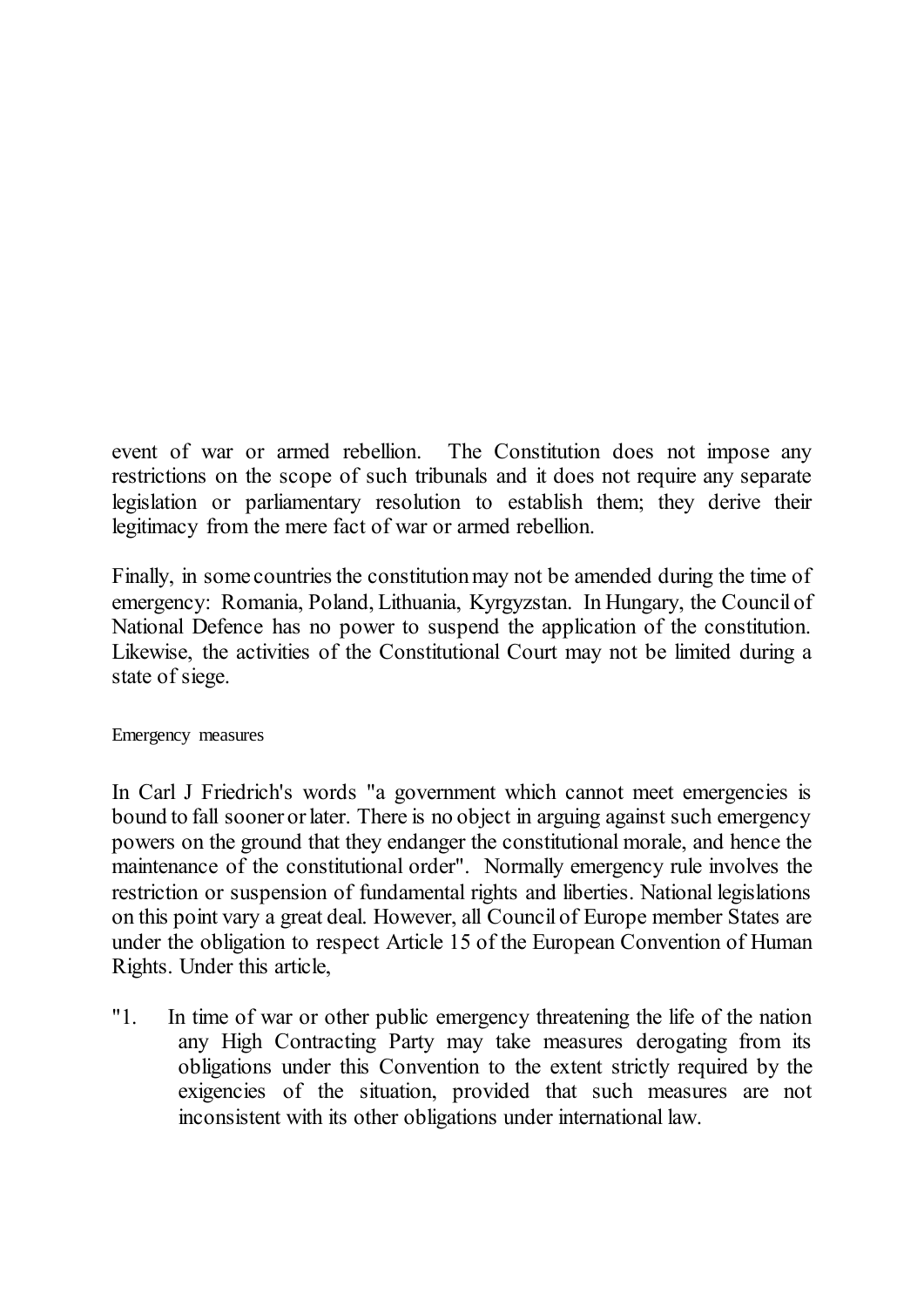event of war or armed rebellion. The Constitution does not impose any restrictions on the scope of such tribunals and it does not require any separate legislation or parliamentary resolution to establish them; they derive their legitimacy from the mere fact of war or armed rebellion.

Finally, in some countries the constitution may not be amended during the time of emergency: Romania, Poland, Lithuania, Kyrgyzstan. In Hungary, the Council of National Defence has no power to suspend the application of the constitution. Likewise, the activities of the Constitutional Court may not be limited during a state of siege.

#### <span id="page-19-0"></span>Emergency measures

In Carl J Friedrich's words "a government which cannot meet emergencies is bound to fall sooner or later. There is no object in arguing against such emergency powers on the ground that they endanger the constitutional morale, and hence the maintenance of the constitutional order". Normally emergency rule involves the restriction or suspension of fundamental rights and liberties. National legislations on this point vary a great deal. However, all Council of Europe member States are under the obligation to respect Article 15 of the European Convention of Human Rights. Under this article,

"1. In time of war or other public emergency threatening the life of the nation any High Contracting Party may take measures derogating from its obligations under this Convention to the extent strictly required by the exigencies of the situation, provided that such measures are not inconsistent with its other obligations under international law.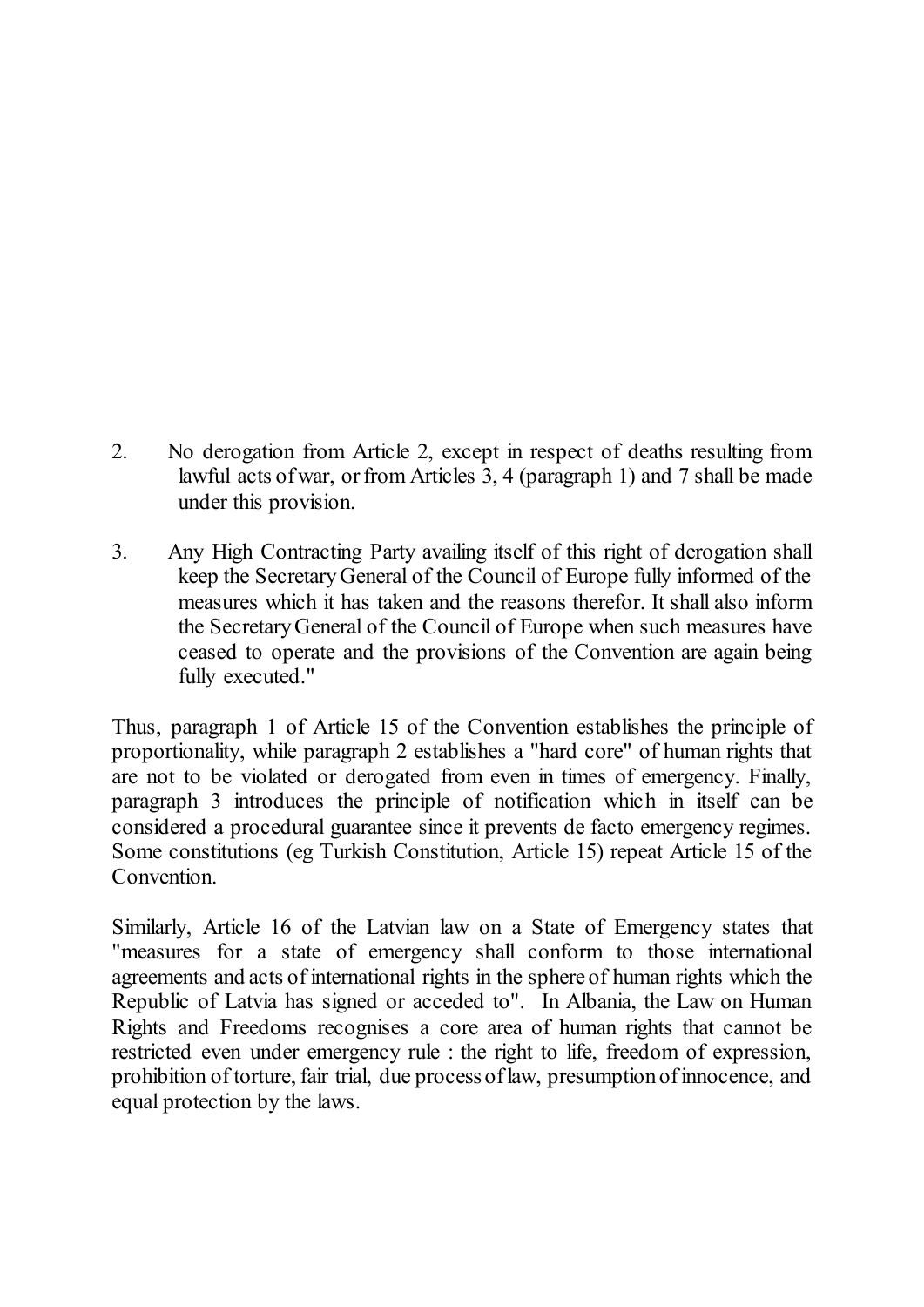- 2. No derogation from Article 2, except in respect of deaths resulting from lawful acts of war, or from Articles 3, 4 (paragraph 1) and 7 shall be made under this provision.
- 3. Any High Contracting Party availing itself of this right of derogation shall keep the Secretary General of the Council of Europe fully informed of the measures which it has taken and the reasons therefor. It shall also inform the Secretary General of the Council of Europe when such measures have ceased to operate and the provisions of the Convention are again being fully executed."

Thus, paragraph 1 of Article 15 of the Convention establishes the principle of proportionality, while paragraph 2 establishes a "hard core" of human rights that are not to be violated or derogated from even in times of emergency. Finally, paragraph 3 introduces the principle of notification which in itself can be considered a procedural guarantee since it prevents de facto emergency regimes. Some constitutions (eg Turkish Constitution, Article 15) repeat Article 15 of the Convention.

Similarly, Article 16 of the Latvian law on a State of Emergency states that "measures for a state of emergency shall conform to those international agreements and acts of international rights in the sphere of human rights which the Republic of Latvia has signed or acceded to". In Albania, the Law on Human Rights and Freedoms recognises a core area of human rights that cannot be restricted even under emergency rule : the right to life, freedom of expression, prohibition of torture, fair trial, due process of law, presumption of innocence, and equal protection by the laws.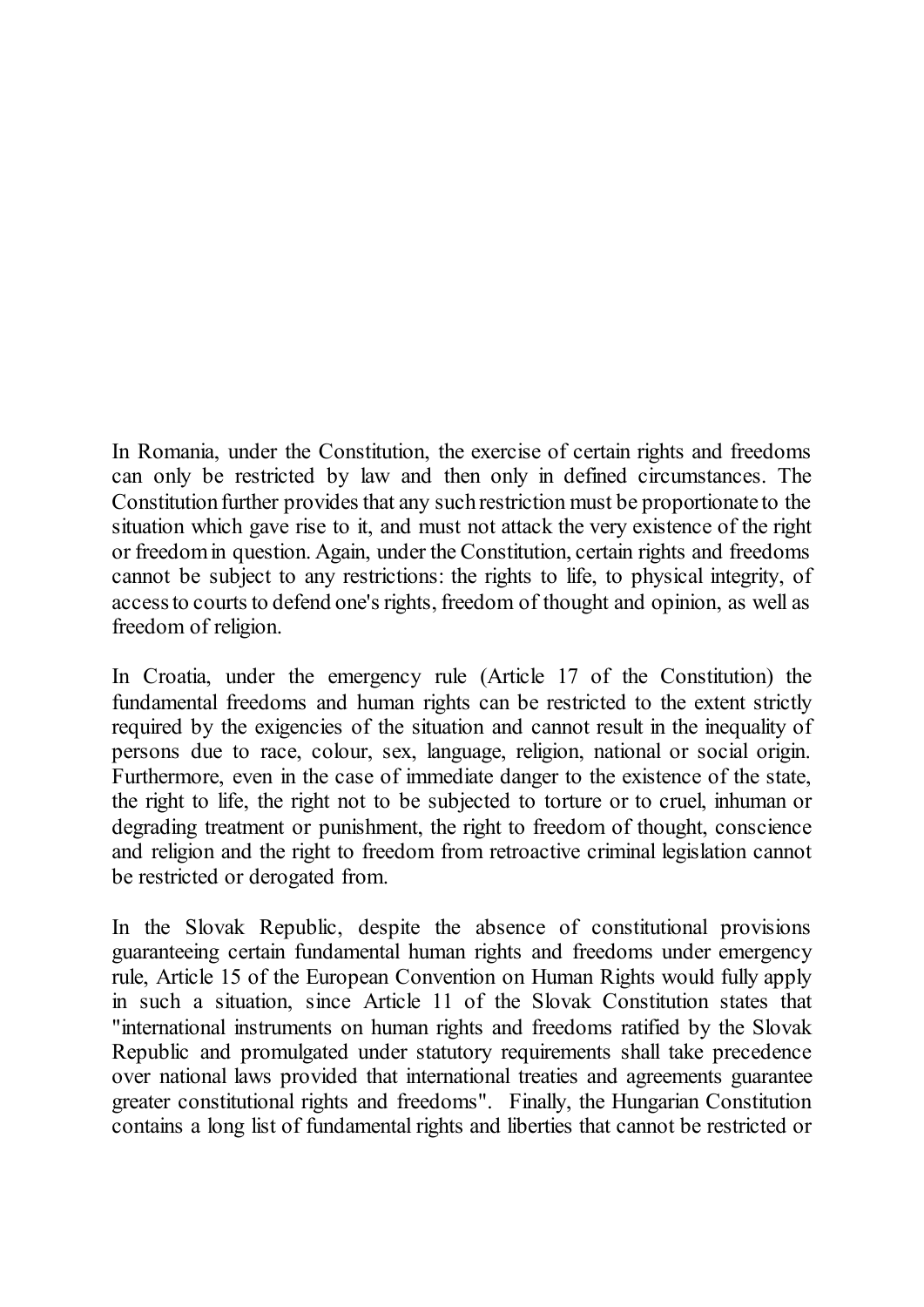In Romania, under the Constitution, the exercise of certain rights and freedoms can only be restricted by law and then only in defined circumstances. The Constitution further provides that any such restriction must be proportionate to the situation which gave rise to it, and must not attack the very existence of the right or freedom in question. Again, under the Constitution, certain rights and freedoms cannot be subject to any restrictions: the rights to life, to physical integrity, of access to courts to defend one's rights, freedom of thought and opinion, as well as freedom of religion.

In Croatia, under the emergency rule (Article 17 of the Constitution) the fundamental freedoms and human rights can be restricted to the extent strictly required by the exigencies of the situation and cannot result in the inequality of persons due to race, colour, sex, language, religion, national or social origin. Furthermore, even in the case of immediate danger to the existence of the state, the right to life, the right not to be subjected to torture or to cruel, inhuman or degrading treatment or punishment, the right to freedom of thought, conscience and religion and the right to freedom from retroactive criminal legislation cannot be restricted or derogated from.

In the Slovak Republic, despite the absence of constitutional provisions guaranteeing certain fundamental human rights and freedoms under emergency rule, Article 15 of the European Convention on Human Rights would fully apply in such a situation, since Article 11 of the Slovak Constitution states that "international instruments on human rights and freedoms ratified by the Slovak Republic and promulgated under statutory requirements shall take precedence over national laws provided that international treaties and agreements guarantee greater constitutional rights and freedoms". Finally, the Hungarian Constitution contains a long list of fundamental rights and liberties that cannot be restricted or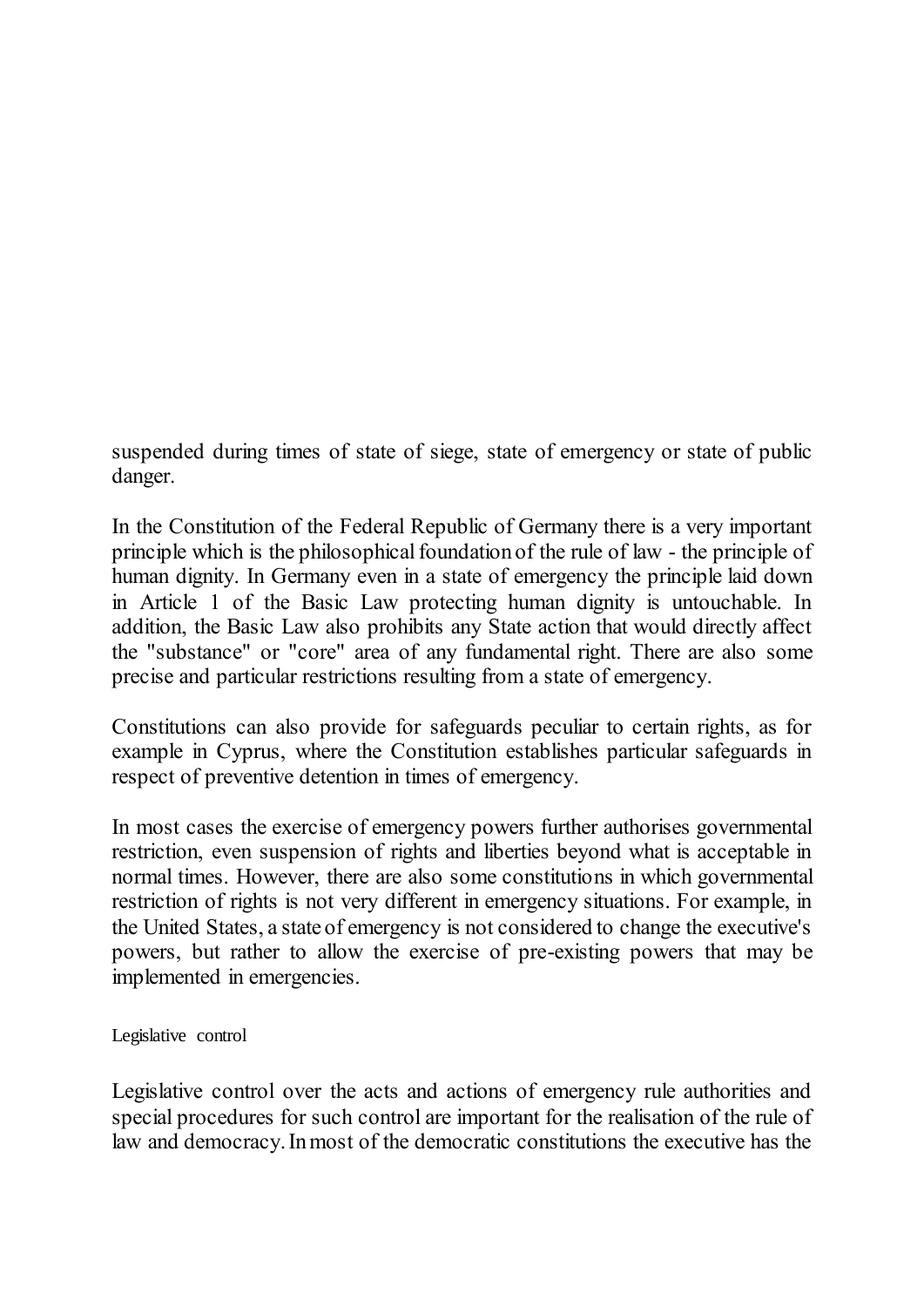suspended during times of state of siege, state of emergency or state of public danger.

In the Constitution of the Federal Republic of Germany there is a very important principle which is the philosophical foundation of the rule of law - the principle of human dignity. In Germany even in a state of emergency the principle laid down in Article 1 of the Basic Law protecting human dignity is untouchable. In addition, the Basic Law also prohibits any State action that would directly affect the "substance" or "core" area of any fundamental right. There are also some precise and particular restrictions resulting from a state of emergency.

Constitutions can also provide for safeguards peculiar to certain rights, as for example in Cyprus, where the Constitution establishes particular safeguards in respect of preventive detention in times of emergency.

In most cases the exercise of emergency powers further authorises governmental restriction, even suspension of rights and liberties beyond what is acceptable in normal times. However, there are also some constitutions in which governmental restriction of rights is not very different in emergency situations. For example, in the United States, a state of emergency is not considered to change the executive's powers, but rather to allow the exercise of pre-existing powers that may be implemented in emergencies.

<span id="page-22-0"></span>Legislative control

Legislative control over the acts and actions of emergency rule authorities and special procedures for such control are important for the realisation of the rule of law and democracy. In most of the democratic constitutions the executive has the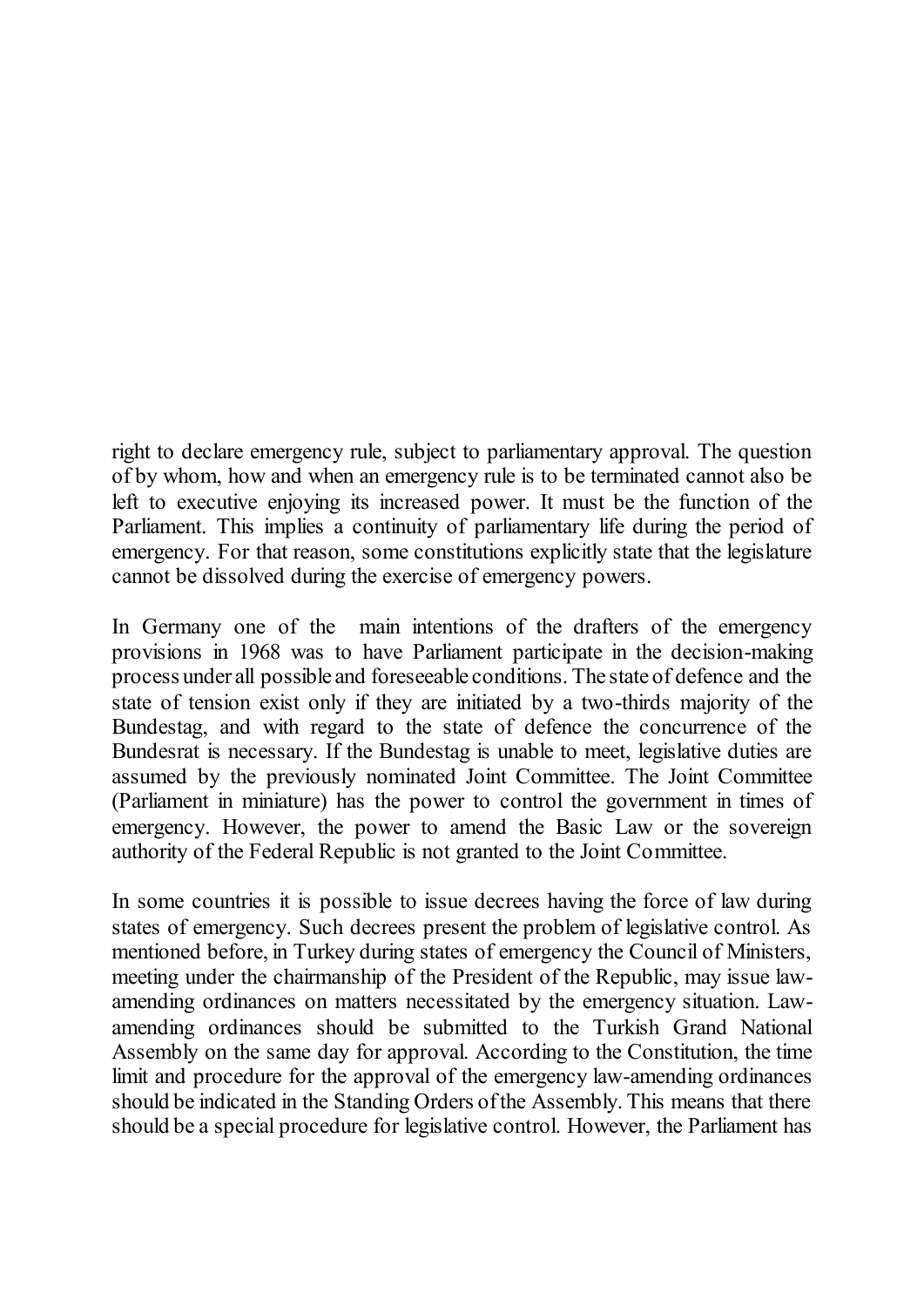right to declare emergency rule, subject to parliamentary approval. The question of by whom, how and when an emergency rule is to be terminated cannot also be left to executive enjoying its increased power. It must be the function of the Parliament. This implies a continuity of parliamentary life during the period of emergency. For that reason, some constitutions explicitly state that the legislature cannot be dissolved during the exercise of emergency powers.

In Germany one of the main intentions of the drafters of the emergency provisions in 1968 was to have Parliament participate in the decision-making process under all possible and foreseeable conditions. The state of defence and the state of tension exist only if they are initiated by a two-thirds majority of the Bundestag, and with regard to the state of defence the concurrence of the Bundesrat is necessary. If the Bundestag is unable to meet, legislative duties are assumed by the previously nominated Joint Committee. The Joint Committee (Parliament in miniature) has the power to control the government in times of emergency. However, the power to amend the Basic Law or the sovereign authority of the Federal Republic is not granted to the Joint Committee.

In some countries it is possible to issue decrees having the force of law during states of emergency. Such decrees present the problem of legislative control. As mentioned before, in Turkey during states of emergency the Council of Ministers, meeting under the chairmanship of the President of the Republic, may issue lawamending ordinances on matters necessitated by the emergency situation. Lawamending ordinances should be submitted to the Turkish Grand National Assembly on the same day for approval. According to the Constitution, the time limit and procedure for the approval of the emergency law-amending ordinances should be indicated in the Standing Orders of the Assembly. This means that there should be a special procedure for legislative control. However, the Parliament has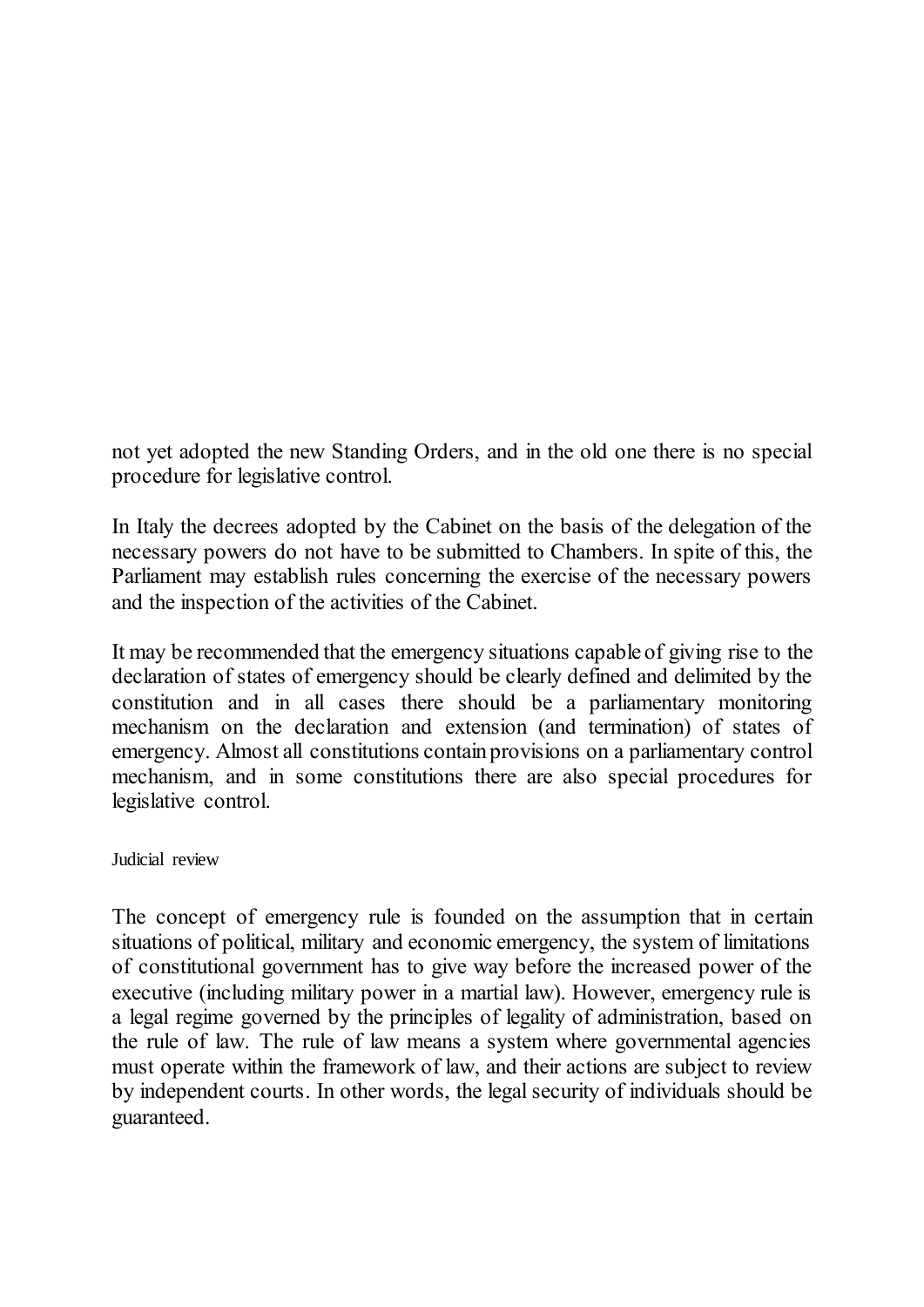not yet adopted the new Standing Orders, and in the old one there is no special procedure for legislative control.

In Italy the decrees adopted by the Cabinet on the basis of the delegation of the necessary powers do not have to be submitted to Chambers. In spite of this, the Parliament may establish rules concerning the exercise of the necessary powers and the inspection of the activities of the Cabinet.

It may be recommended that the emergency situations capable of giving rise to the declaration of states of emergency should be clearly defined and delimited by the constitution and in all cases there should be a parliamentary monitoring mechanism on the declaration and extension (and termination) of states of emergency. Almost all constitutions contain provisions on a parliamentary control mechanism, and in some constitutions there are also special procedures for legislative control.

<span id="page-24-0"></span>Judicial review

The concept of emergency rule is founded on the assumption that in certain situations of political, military and economic emergency, the system of limitations of constitutional government has to give way before the increased power of the executive (including military power in a martial law). However, emergency rule is a legal regime governed by the principles of legality of administration, based on the rule of law. The rule of law means a system where governmental agencies must operate within the framework of law, and their actions are subject to review by independent courts. In other words, the legal security of individuals should be guaranteed.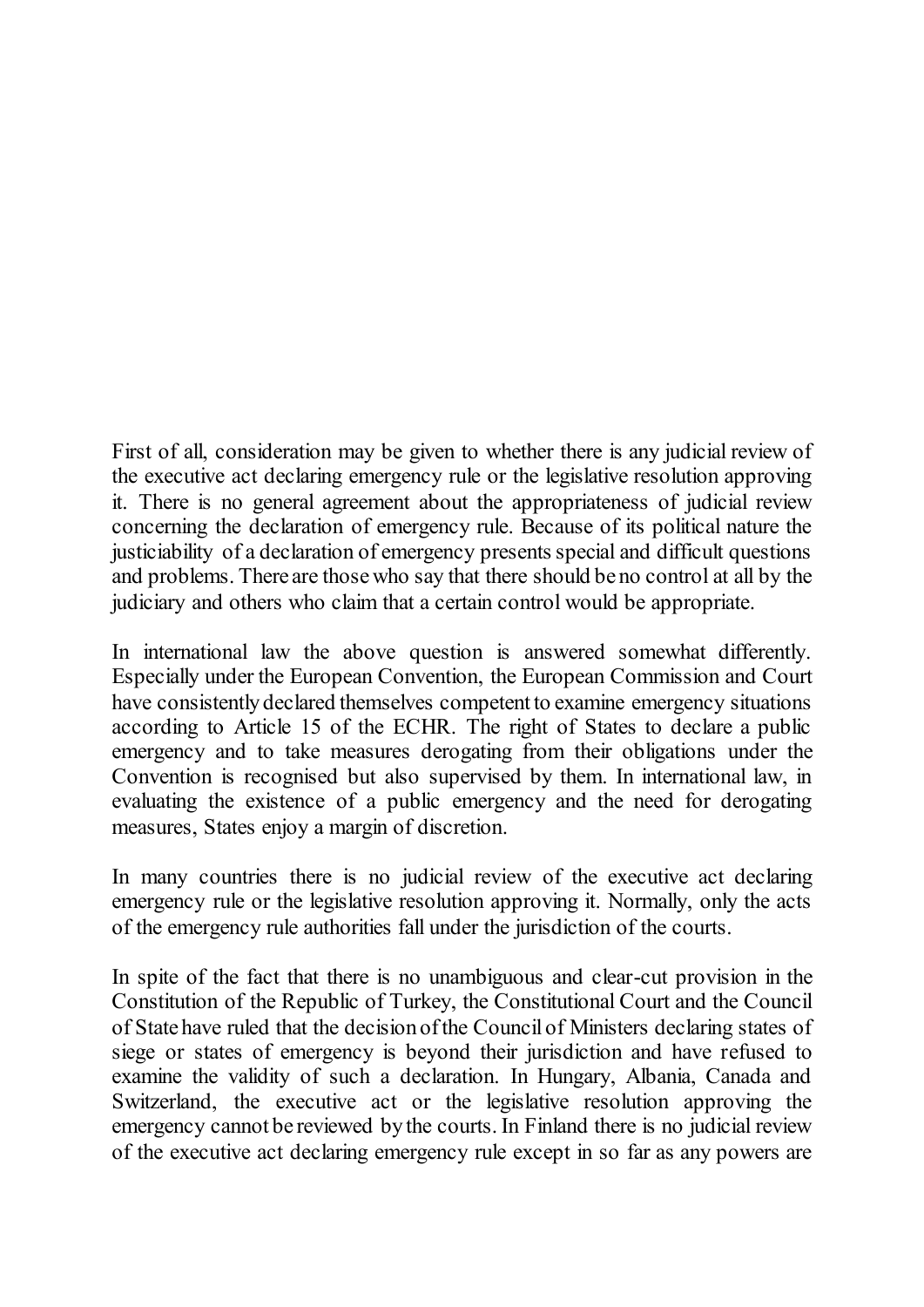First of all, consideration may be given to whether there is any judicial review of the executive act declaring emergency rule or the legislative resolution approving it. There is no general agreement about the appropriateness of judicial review concerning the declaration of emergency rule. Because of its political nature the justiciability of a declaration of emergency presents special and difficult questions and problems. There are those who say that there should be no control at all by the judiciary and others who claim that a certain control would be appropriate.

In international law the above question is answered somewhat differently. Especially under the European Convention, the European Commission and Court have consistently declared themselves competent to examine emergency situations according to Article 15 of the ECHR. The right of States to declare a public emergency and to take measures derogating from their obligations under the Convention is recognised but also supervised by them. In international law, in evaluating the existence of a public emergency and the need for derogating measures, States enjoy a margin of discretion.

In many countries there is no judicial review of the executive act declaring emergency rule or the legislative resolution approving it. Normally, only the acts of the emergency rule authorities fall under the jurisdiction of the courts.

In spite of the fact that there is no unambiguous and clear-cut provision in the Constitution of the Republic of Turkey, the Constitutional Court and the Council of State have ruled that the decision of the Council of Ministers declaring states of siege or states of emergency is beyond their jurisdiction and have refused to examine the validity of such a declaration. In Hungary, Albania, Canada and Switzerland, the executive act or the legislative resolution approving the emergency cannot be reviewed by the courts. In Finland there is no judicial review of the executive act declaring emergency rule except in so far as any powers are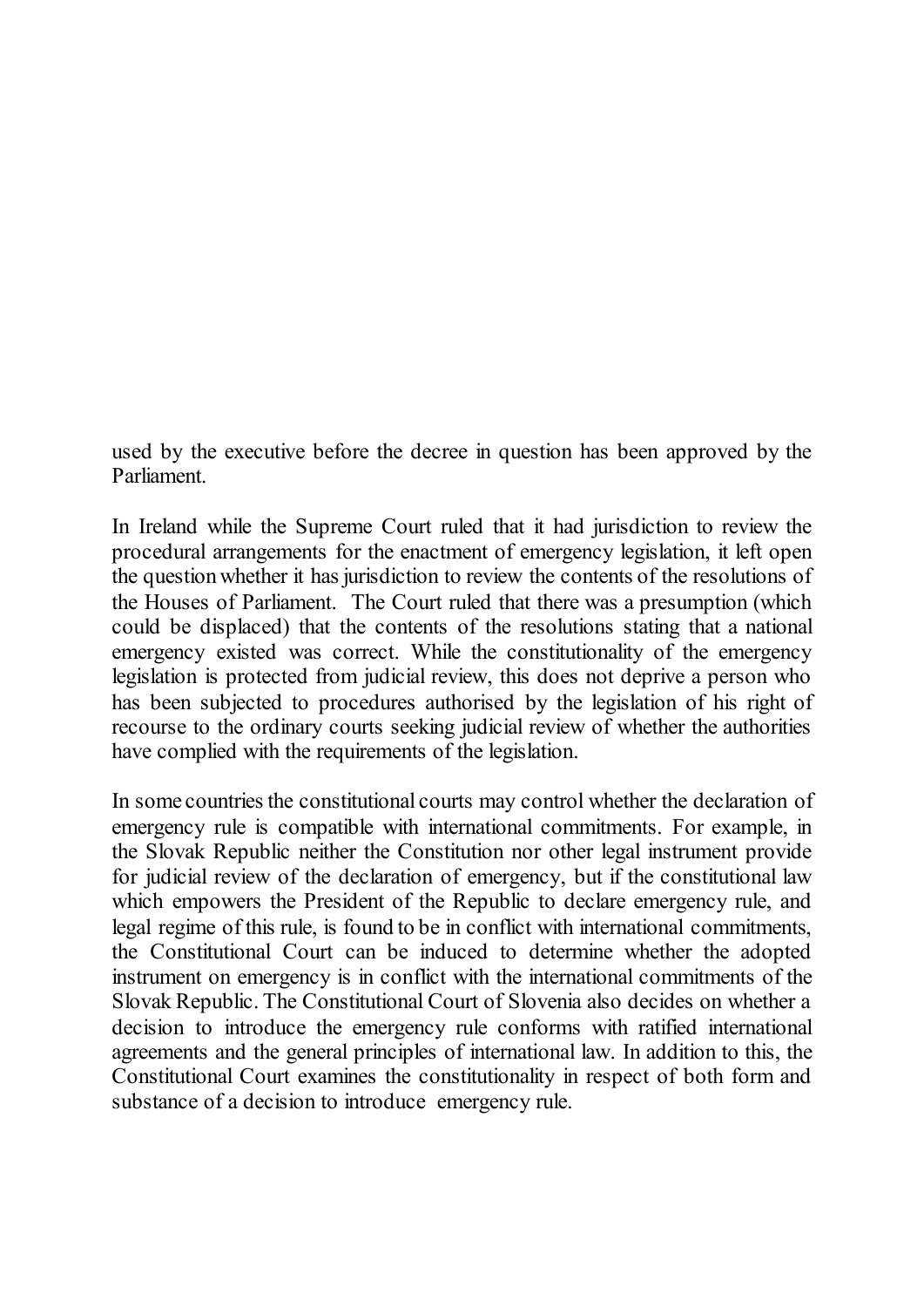used by the executive before the decree in question has been approved by the Parliament.

In Ireland while the Supreme Court ruled that it had jurisdiction to review the procedural arrangements for the enactment of emergency legislation, it left open the question whether it has jurisdiction to review the contents of the resolutions of the Houses of Parliament. The Court ruled that there was a presumption (which could be displaced) that the contents of the resolutions stating that a national emergency existed was correct. While the constitutionality of the emergency legislation is protected from judicial review, this does not deprive a person who has been subjected to procedures authorised by the legislation of his right of recourse to the ordinary courts seeking judicial review of whether the authorities have complied with the requirements of the legislation.

In some countries the constitutional courts may control whether the declaration of emergency rule is compatible with international commitments. For example, in the Slovak Republic neither the Constitution nor other legal instrument provide for judicial review of the declaration of emergency, but if the constitutional law which empowers the President of the Republic to declare emergency rule, and legal regime of this rule, is found to be in conflict with international commitments, the Constitutional Court can be induced to determine whether the adopted instrument on emergency is in conflict with the international commitments of the Slovak Republic. The Constitutional Court of Slovenia also decides on whether a decision to introduce the emergency rule conforms with ratified international agreements and the general principles of international law. In addition to this, the Constitutional Court examines the constitutionality in respect of both form and substance of a decision to introduce emergency rule.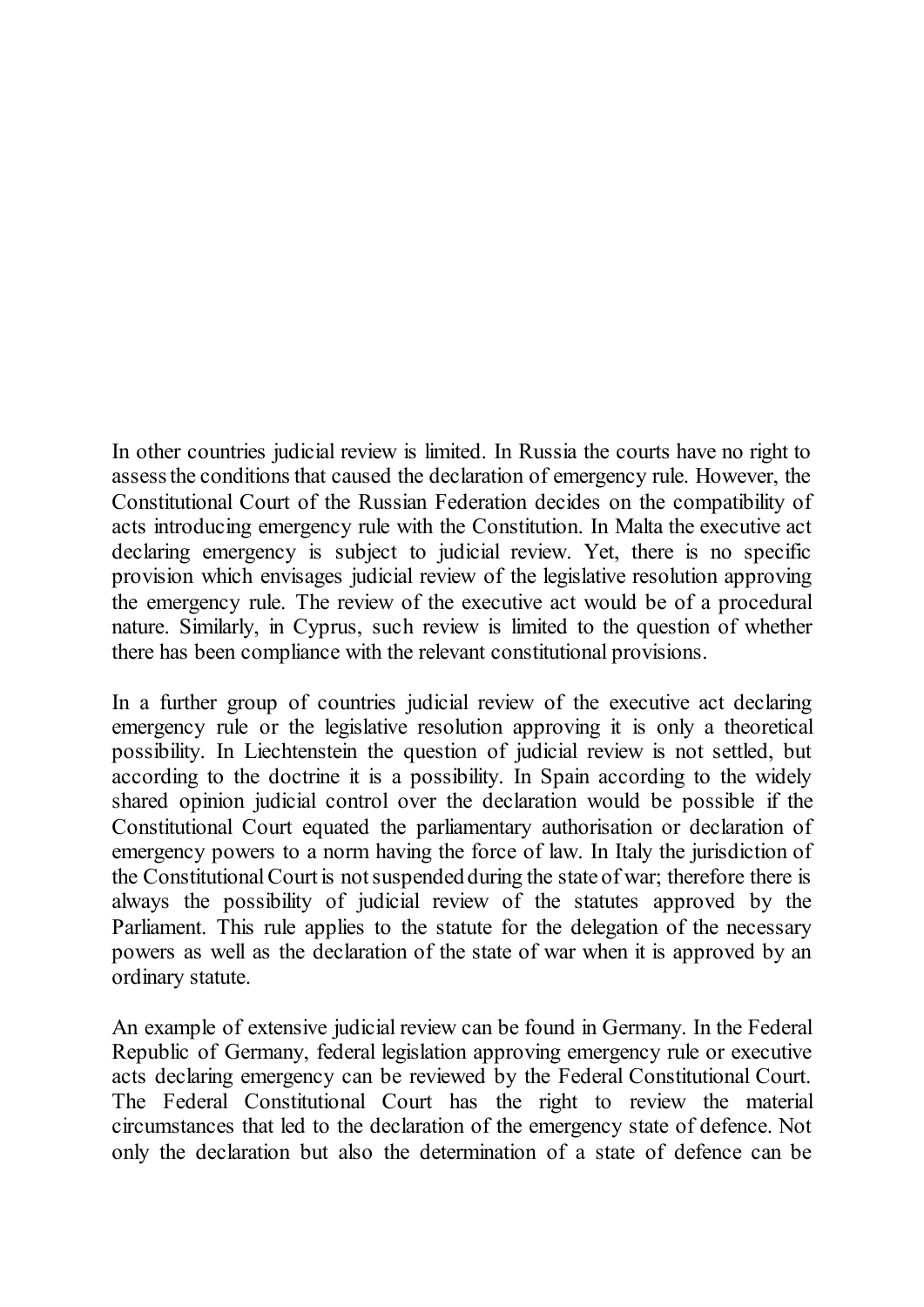In other countries judicial review is limited. In Russia the courts have no right to assess the conditions that caused the declaration of emergency rule. However, the Constitutional Court of the Russian Federation decides on the compatibility of acts introducing emergency rule with the Constitution. In Malta the executive act declaring emergency is subject to judicial review. Yet, there is no specific provision which envisages judicial review of the legislative resolution approving the emergency rule. The review of the executive act would be of a procedural nature. Similarly, in Cyprus, such review is limited to the question of whether there has been compliance with the relevant constitutional provisions.

In a further group of countries judicial review of the executive act declaring emergency rule or the legislative resolution approving it is only a theoretical possibility. In Liechtenstein the question of judicial review is not settled, but according to the doctrine it is a possibility. In Spain according to the widely shared opinion judicial control over the declaration would be possible if the Constitutional Court equated the parliamentary authorisation or declaration of emergency powers to a norm having the force of law. In Italy the jurisdiction of the Constitutional Court is not suspended during the state of war; therefore there is always the possibility of judicial review of the statutes approved by the Parliament. This rule applies to the statute for the delegation of the necessary powers as well as the declaration of the state of war when it is approved by an ordinary statute.

An example of extensive judicial review can be found in Germany. In the Federal Republic of Germany, federal legislation approving emergency rule or executive acts declaring emergency can be reviewed by the Federal Constitutional Court. The Federal Constitutional Court has the right to review the material circumstances that led to the declaration of the emergency state of defence. Not only the declaration but also the determination of a state of defence can be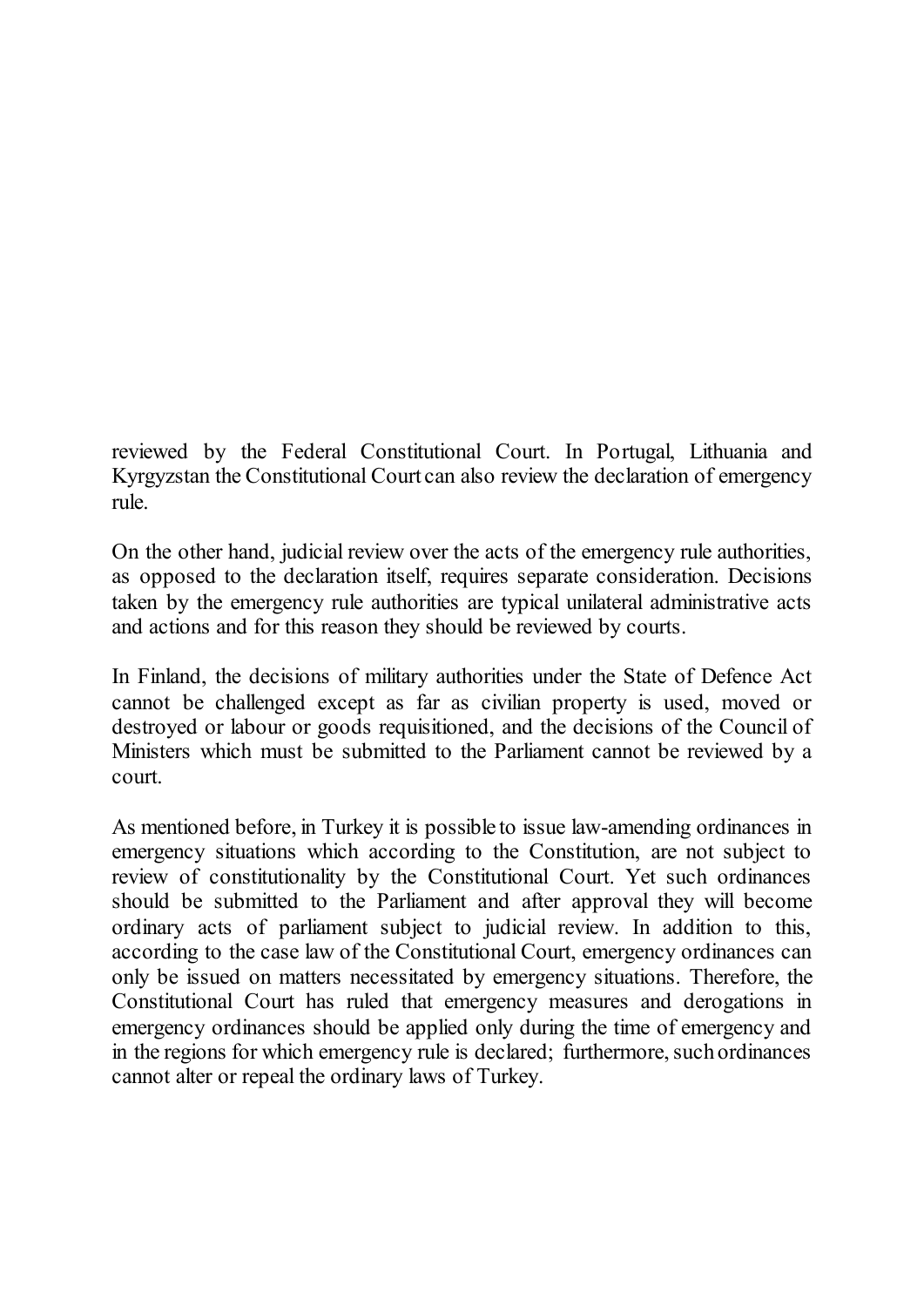reviewed by the Federal Constitutional Court. In Portugal, Lithuania and Kyrgyzstan the Constitutional Court can also review the declaration of emergency rule.

On the other hand, judicial review over the acts of the emergency rule authorities, as opposed to the declaration itself, requires separate consideration. Decisions taken by the emergency rule authorities are typical unilateral administrative acts and actions and for this reason they should be reviewed by courts.

In Finland, the decisions of military authorities under the State of Defence Act cannot be challenged except as far as civilian property is used, moved or destroyed or labour or goods requisitioned, and the decisions of the Council of Ministers which must be submitted to the Parliament cannot be reviewed by a court.

As mentioned before, in Turkey it is possible to issue law-amending ordinances in emergency situations which according to the Constitution, are not subject to review of constitutionality by the Constitutional Court. Yet such ordinances should be submitted to the Parliament and after approval they will become ordinary acts of parliament subject to judicial review. In addition to this, according to the case law of the Constitutional Court, emergency ordinances can only be issued on matters necessitated by emergency situations. Therefore, the Constitutional Court has ruled that emergency measures and derogations in emergency ordinances should be applied only during the time of emergency and in the regions for which emergency rule is declared; furthermore, such ordinances cannot alter or repeal the ordinary laws of Turkey.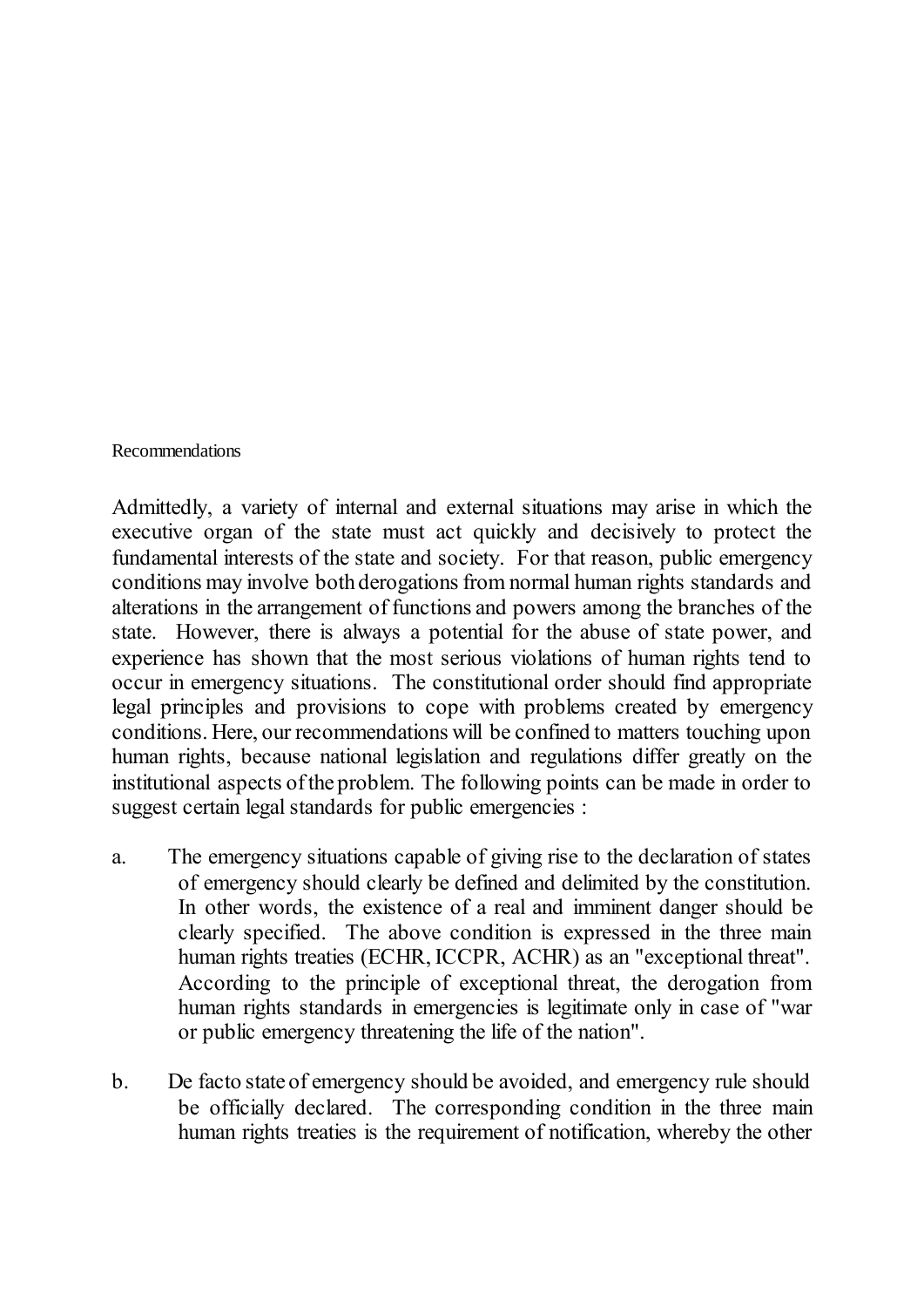<span id="page-29-0"></span>Recommendations

Admittedly, a variety of internal and external situations may arise in which the executive organ of the state must act quickly and decisively to protect the fundamental interests of the state and society. For that reason, public emergency conditions may involve both derogations from normal human rights standards and alterations in the arrangement of functions and powers among the branches of the state. However, there is always a potential for the abuse of state power, and experience has shown that the most serious violations of human rights tend to occur in emergency situations. The constitutional order should find appropriate legal principles and provisions to cope with problems created by emergency conditions. Here, our recommendations will be confined to matters touching upon human rights, because national legislation and regulations differ greatly on the institutional aspects of the problem. The following points can be made in order to suggest certain legal standards for public emergencies :

- a. The emergency situations capable of giving rise to the declaration of states of emergency should clearly be defined and delimited by the constitution. In other words, the existence of a real and imminent danger should be clearly specified. The above condition is expressed in the three main human rights treaties (ECHR, ICCPR, ACHR) as an "exceptional threat". According to the principle of exceptional threat, the derogation from human rights standards in emergencies is legitimate only in case of "war or public emergency threatening the life of the nation".
- b. De facto state of emergency should be avoided, and emergency rule should be officially declared. The corresponding condition in the three main human rights treaties is the requirement of notification, whereby the other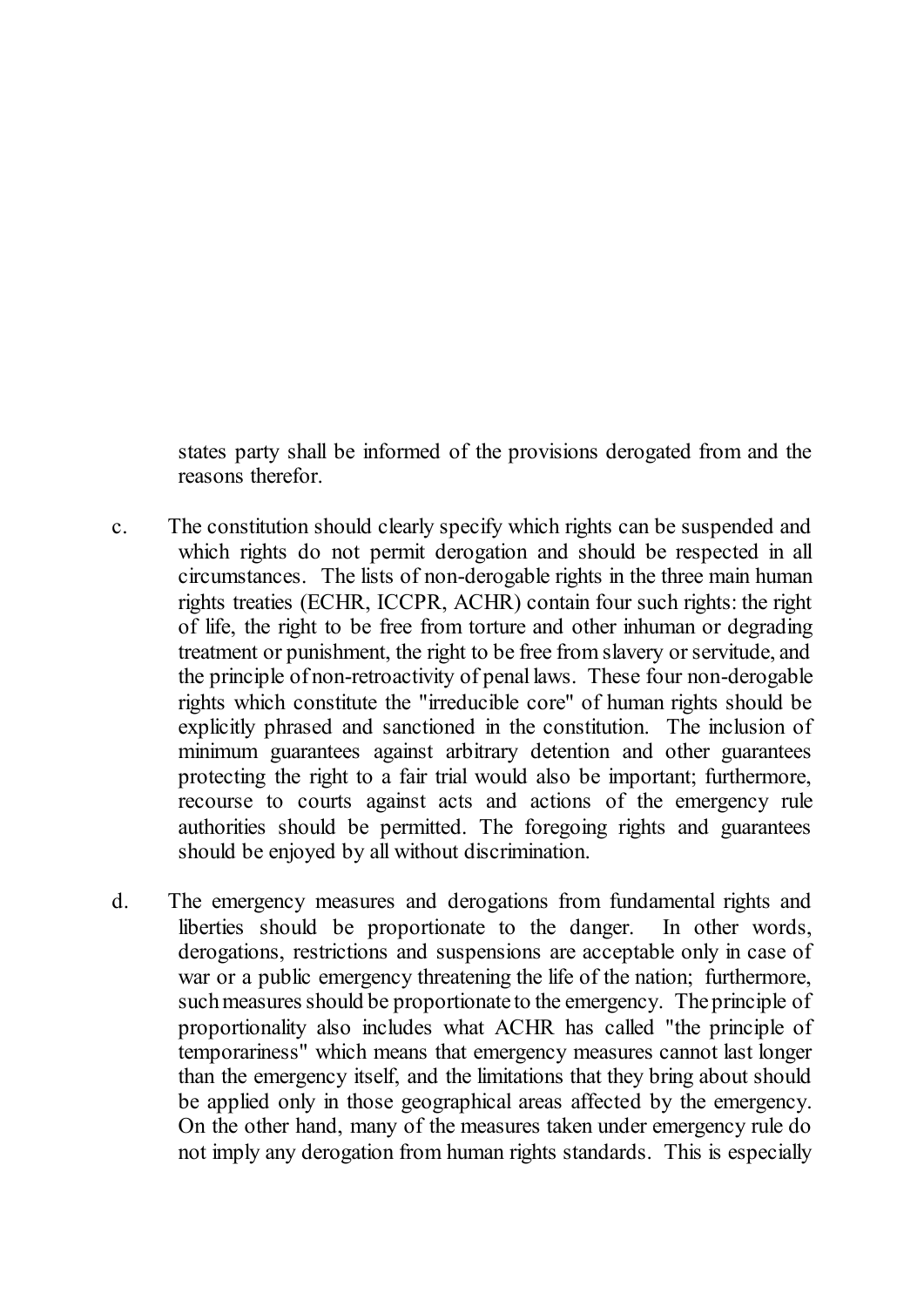states party shall be informed of the provisions derogated from and the reasons therefor.

- c. The constitution should clearly specify which rights can be suspended and which rights do not permit derogation and should be respected in all circumstances. The lists of non-derogable rights in the three main human rights treaties (ECHR, ICCPR, ACHR) contain four such rights: the right of life, the right to be free from torture and other inhuman or degrading treatment or punishment, the right to be free from slavery or servitude, and the principle of non-retroactivity of penal laws. These four non-derogable rights which constitute the "irreducible core" of human rights should be explicitly phrased and sanctioned in the constitution. The inclusion of minimum guarantees against arbitrary detention and other guarantees protecting the right to a fair trial would also be important; furthermore, recourse to courts against acts and actions of the emergency rule authorities should be permitted. The foregoing rights and guarantees should be enjoyed by all without discrimination.
- d. The emergency measures and derogations from fundamental rights and liberties should be proportionate to the danger. In other words, derogations, restrictions and suspensions are acceptable only in case of war or a public emergency threatening the life of the nation; furthermore, such measures should be proportionate to the emergency. The principle of proportionality also includes what ACHR has called "the principle of temporariness" which means that emergency measures cannot last longer than the emergency itself, and the limitations that they bring about should be applied only in those geographical areas affected by the emergency. On the other hand, many of the measures taken under emergency rule do not imply any derogation from human rights standards. This is especially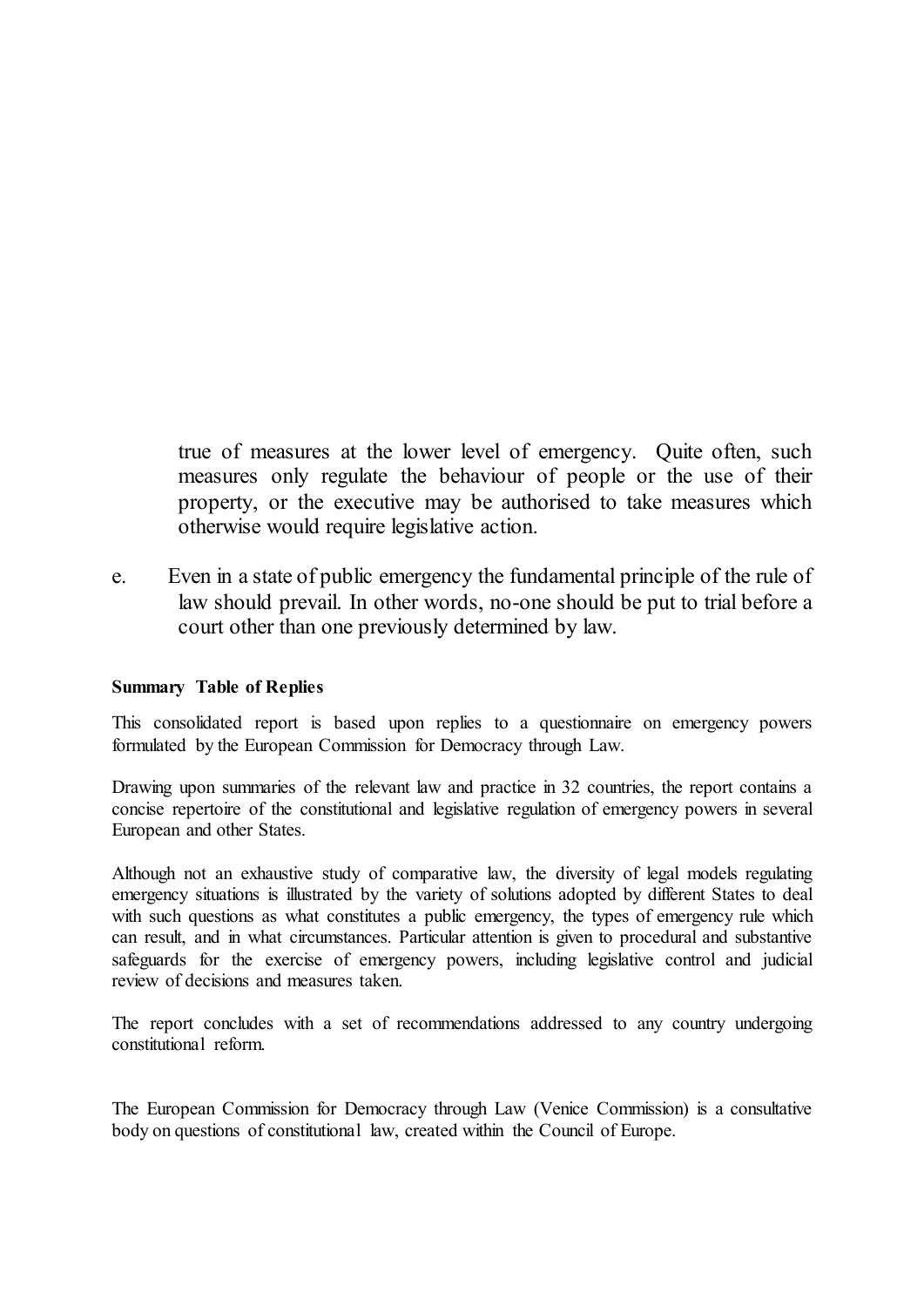true of measures at the lower level of emergency. Quite often, such measures only regulate the behaviour of people or the use of their property, or the executive may be authorised to take measures which otherwise would require legislative action.

e. Even in a state of public emergency the fundamental principle of the rule of law should prevail. In other words, no-one should be put to trial before a court other than one previously determined by law.

#### <span id="page-31-0"></span>**Summary Table of Replies**

This consolidated report is based upon replies to a questionnaire on emergency powers formulated by the European Commission for Democracy through Law.

Drawing upon summaries of the relevant law and practice in 32 countries, the report contains a concise repertoire of the constitutional and legislative regulation of emergency powers in several European and other States.

Although not an exhaustive study of comparative law, the diversity of legal models regulating emergency situations is illustrated by the variety of solutions adopted by different States to deal with such questions as what constitutes a public emergency, the types of emergency rule which can result, and in what circumstances. Particular attention is given to procedural and substantive safeguards for the exercise of emergency powers, including legislative control and judicial review of decisions and measures taken.

The report concludes with a set of recommendations addressed to any country undergoing constitutional reform.

The European Commission for Democracy through Law (Venice Commission) is a consultative body on questions of constitutional law, created within the Council of Europe.